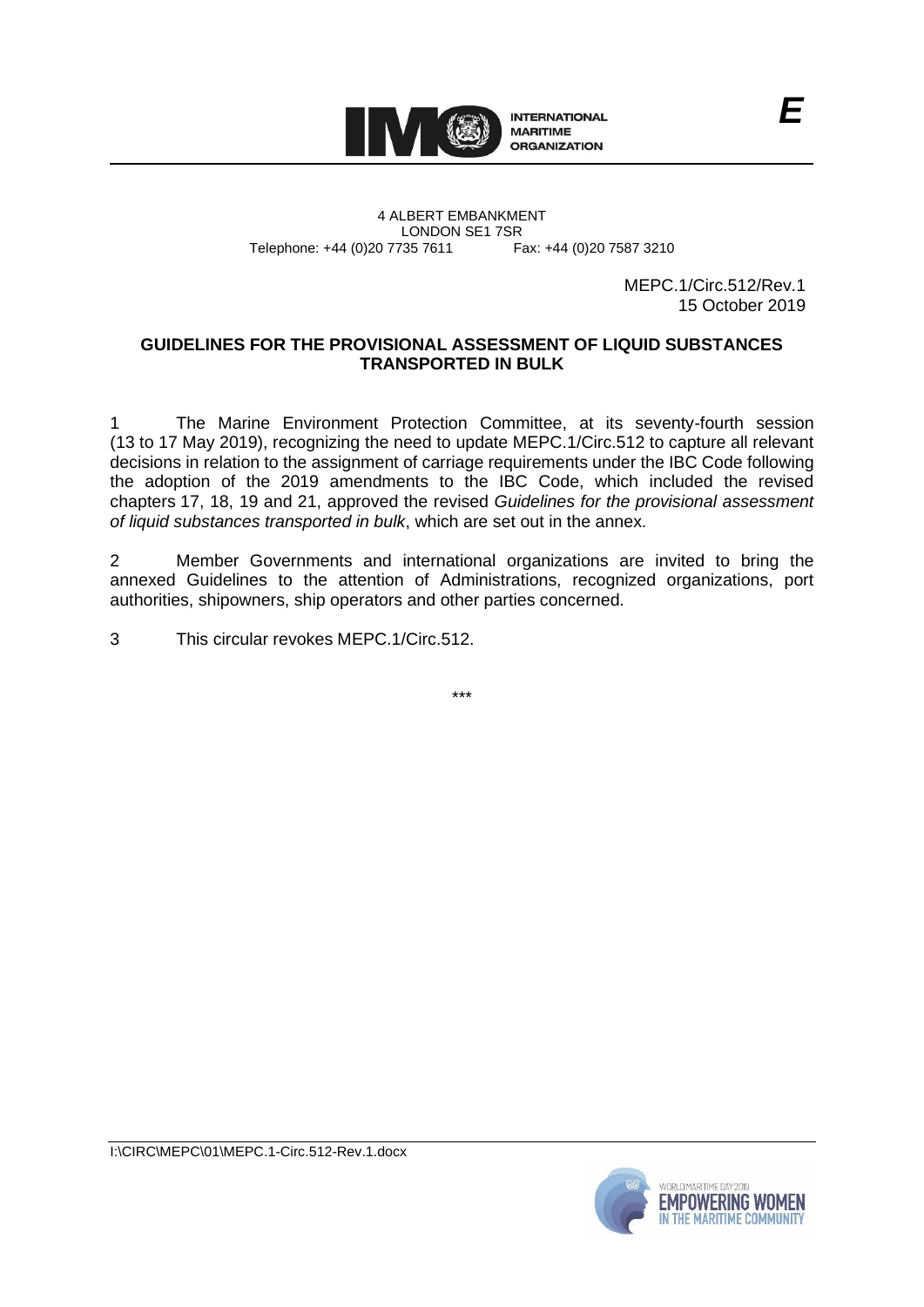

4 ALBERT EMBANKMENT Telephone: +44 (0)20 7735 7611

LONDON SE1 7SR<br>735 7611 Fax: +44 (0)20 7587 3210

MEPC.1/Circ.512/Rev.1 15 October 2019

# **GUIDELINES FOR THE PROVISIONAL ASSESSMENT OF LIQUID SUBSTANCES TRANSPORTED IN BULK**

1 The Marine Environment Protection Committee, at its seventy-fourth session (13 to 17 May 2019), recognizing the need to update MEPC.1/Circ.512 to capture all relevant decisions in relation to the assignment of carriage requirements under the IBC Code following the adoption of the 2019 amendments to the IBC Code, which included the revised chapters 17, 18, 19 and 21, approved the revised *Guidelines for the provisional assessment of liquid substances transported in bulk*, which are set out in the annex.

2 Member Governments and international organizations are invited to bring the annexed Guidelines to the attention of Administrations, recognized organizations, port authorities, shipowners, ship operators and other parties concerned.

3 This circular revokes MEPC.1/Circ.512.

\*\*\*

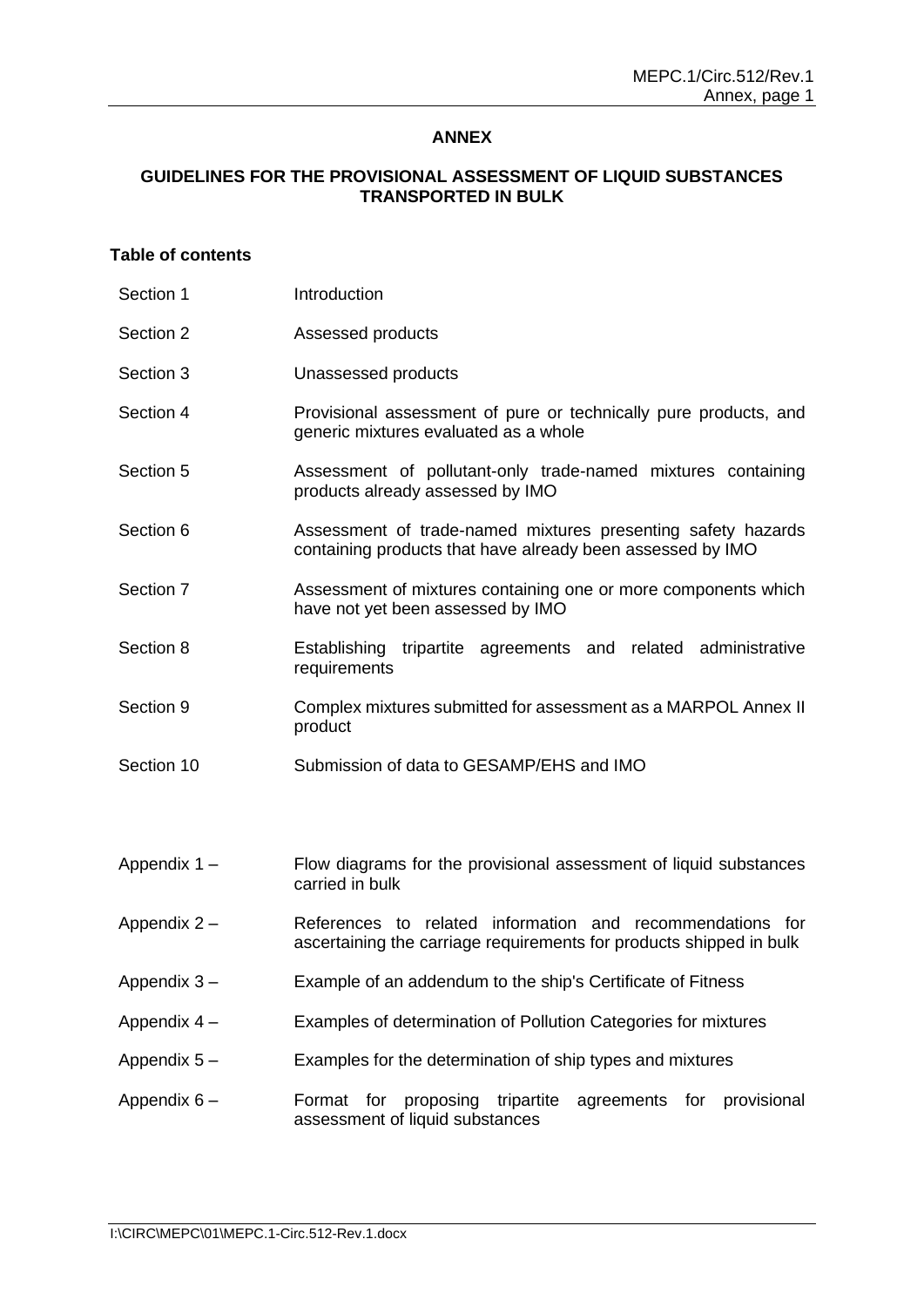# **ANNEX**

# **GUIDELINES FOR THE PROVISIONAL ASSESSMENT OF LIQUID SUBSTANCES TRANSPORTED IN BULK**

# **Table of contents**

| Section 1    | Introduction                                                                                                                     |  |  |  |  |  |  |
|--------------|----------------------------------------------------------------------------------------------------------------------------------|--|--|--|--|--|--|
| Section 2    | Assessed products                                                                                                                |  |  |  |  |  |  |
| Section 3    | Unassessed products                                                                                                              |  |  |  |  |  |  |
| Section 4    | Provisional assessment of pure or technically pure products, and<br>generic mixtures evaluated as a whole                        |  |  |  |  |  |  |
| Section 5    | Assessment of pollutant-only trade-named mixtures containing<br>products already assessed by IMO                                 |  |  |  |  |  |  |
| Section 6    | Assessment of trade-named mixtures presenting safety hazards<br>containing products that have already been assessed by IMO       |  |  |  |  |  |  |
| Section 7    | Assessment of mixtures containing one or more components which<br>have not yet been assessed by IMO                              |  |  |  |  |  |  |
| Section 8    | tripartite agreements and related administrative<br>Establishing<br>requirements                                                 |  |  |  |  |  |  |
| Section 9    | Complex mixtures submitted for assessment as a MARPOL Annex II<br>product                                                        |  |  |  |  |  |  |
| Section 10   | Submission of data to GESAMP/EHS and IMO                                                                                         |  |  |  |  |  |  |
|              |                                                                                                                                  |  |  |  |  |  |  |
| Appendix 1-  | Flow diagrams for the provisional assessment of liquid substances<br>carried in bulk                                             |  |  |  |  |  |  |
| Appendix 2-  | References to related information and recommendations for<br>ascertaining the carriage requirements for products shipped in bulk |  |  |  |  |  |  |
| Appendix 3-  | Example of an addendum to the ship's Certificate of Fitness                                                                      |  |  |  |  |  |  |
| Appendix 4 - | Examples of determination of Pollution Categories for mixtures                                                                   |  |  |  |  |  |  |
| Appendix 5-  | Examples for the determination of ship types and mixtures                                                                        |  |  |  |  |  |  |
| Appendix 6-  | proposing<br>tripartite<br>Format<br>for<br>agreements for<br>provisional<br>assessment of liquid substances                     |  |  |  |  |  |  |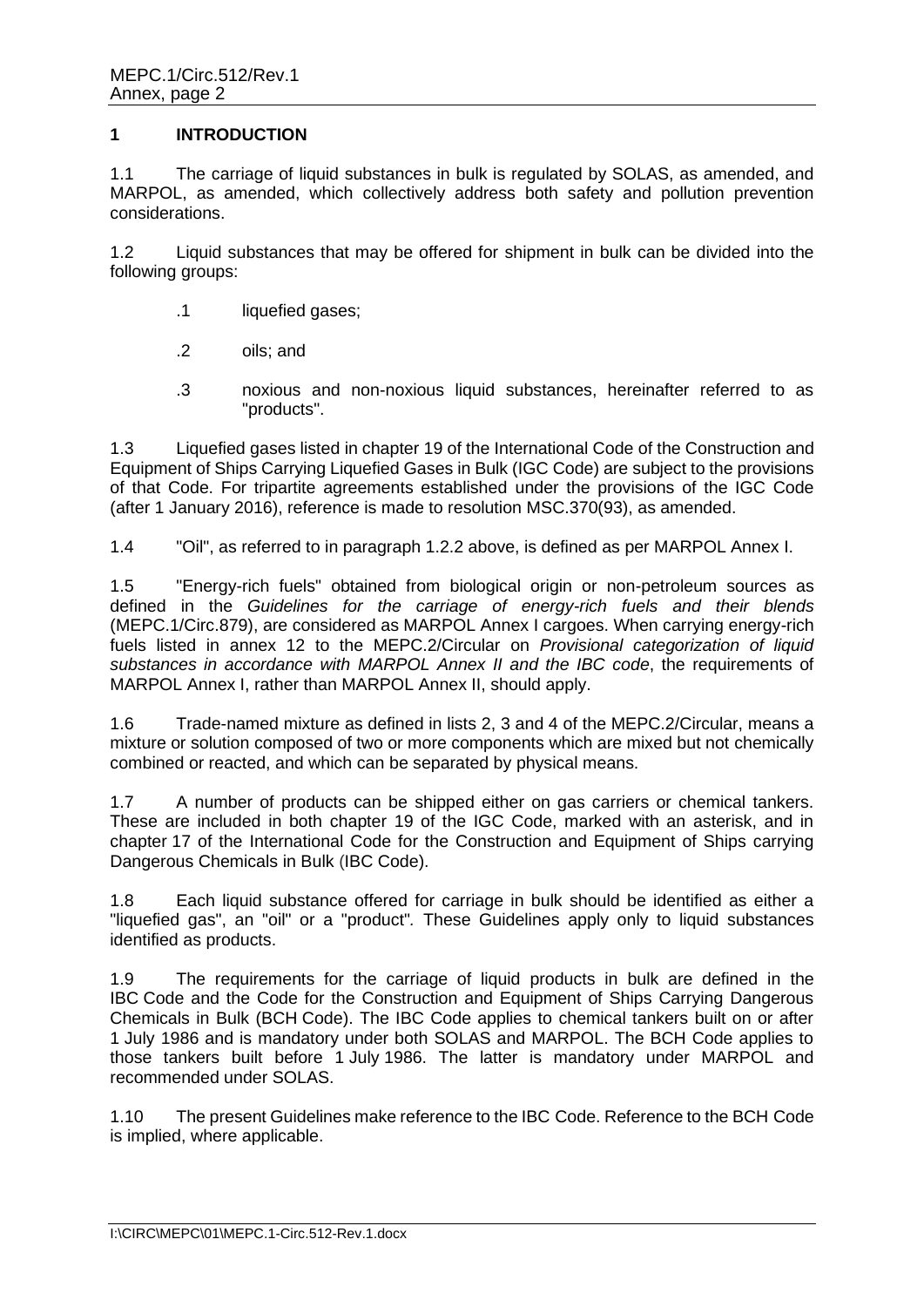# **1 INTRODUCTION**

1.1 The carriage of liquid substances in bulk is regulated by SOLAS, as amended, and MARPOL, as amended, which collectively address both safety and pollution prevention considerations.

1.2 Liquid substances that may be offered for shipment in bulk can be divided into the following groups:

- .1 liquefied gases;
- .2 oils; and
- .3 noxious and non-noxious liquid substances, hereinafter referred to as "products".

1.3 Liquefied gases listed in chapter 19 of the International Code of the Construction and Equipment of Ships Carrying Liquefied Gases in Bulk (IGC Code) are subject to the provisions of that Code. For tripartite agreements established under the provisions of the IGC Code (after 1 January 2016), reference is made to resolution MSC.370(93), as amended.

1.4 "Oil", as referred to in paragraph 1.2.2 above, is defined as per MARPOL Annex I.

1.5 "Energy-rich fuels" obtained from biological origin or non-petroleum sources as defined in the *Guidelines for the carriage of energy-rich fuels and their blends* (MEPC.1/Circ.879), are considered as MARPOL Annex I cargoes. When carrying energy-rich fuels listed in annex 12 to the MEPC.2/Circular on *Provisional categorization of liquid substances in accordance with MARPOL Annex II and the IBC code*, the requirements of MARPOL Annex I, rather than MARPOL Annex II, should apply.

1.6 Trade-named mixture as defined in lists 2, 3 and 4 of the MEPC.2/Circular, means a mixture or solution composed of two or more components which are mixed but not chemically combined or reacted, and which can be separated by physical means.

1.7 A number of products can be shipped either on gas carriers or chemical tankers. These are included in both chapter 19 of the IGC Code, marked with an asterisk, and in chapter 17 of the International Code for the Construction and Equipment of Ships carrying Dangerous Chemicals in Bulk (IBC Code).

1.8 Each liquid substance offered for carriage in bulk should be identified as either a "liquefied gas", an "oil" or a "product"*.* These Guidelines apply only to liquid substances identified as products.

1.9 The requirements for the carriage of liquid products in bulk are defined in the IBC Code and the Code for the Construction and Equipment of Ships Carrying Dangerous Chemicals in Bulk (BCH Code). The IBC Code applies to chemical tankers built on or after 1 July 1986 and is mandatory under both SOLAS and MARPOL. The BCH Code applies to those tankers built before 1 July 1986. The latter is mandatory under MARPOL and recommended under SOLAS.

1.10 The present Guidelines make reference to the IBC Code. Reference to the BCH Code is implied, where applicable.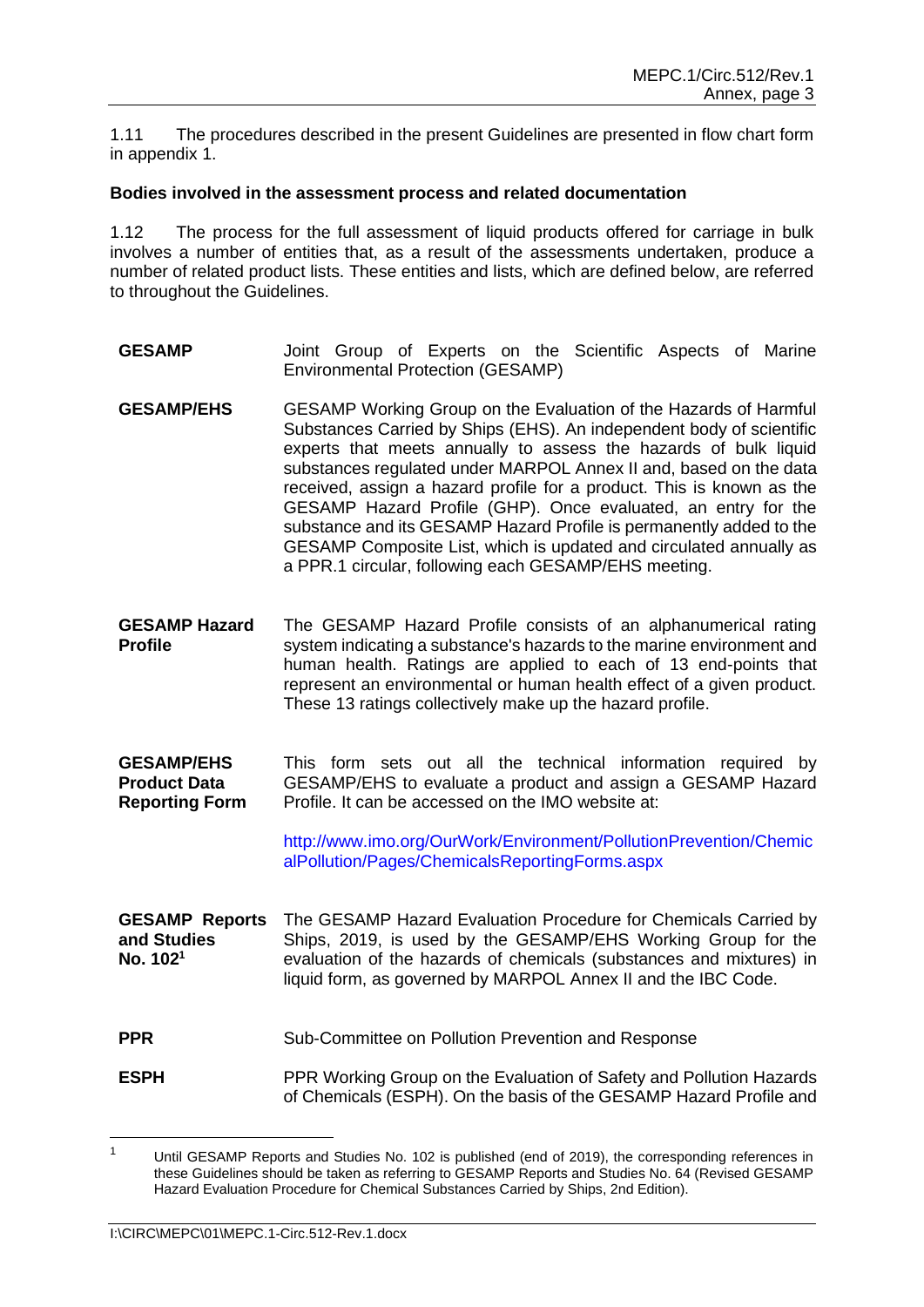1.11 The procedures described in the present Guidelines are presented in flow chart form in appendix 1.

#### **Bodies involved in the assessment process and related documentation**

1.12 The process for the full assessment of liquid products offered for carriage in bulk involves a number of entities that, as a result of the assessments undertaken, produce a number of related product lists. These entities and lists, which are defined below, are referred to throughout the Guidelines.

- **GESAMP** Joint Group of Experts on the Scientific Aspects of Marine Environmental Protection (GESAMP)
- **GESAMP/EHS** GESAMP Working Group on the Evaluation of the Hazards of Harmful Substances Carried by Ships (EHS). An independent body of scientific experts that meets annually to assess the hazards of bulk liquid substances regulated under MARPOL Annex II and, based on the data received, assign a hazard profile for a product. This is known as the GESAMP Hazard Profile (GHP). Once evaluated, an entry for the substance and its GESAMP Hazard Profile is permanently added to the GESAMP Composite List, which is updated and circulated annually as a PPR.1 circular, following each GESAMP/EHS meeting.
- **GESAMP Hazard Profile** The GESAMP Hazard Profile consists of an alphanumerical rating system indicating a substance's hazards to the marine environment and human health. Ratings are applied to each of 13 end-points that represent an environmental or human health effect of a given product. These 13 ratings collectively make up the hazard profile.
- **GESAMP/EHS Product Data Reporting Form** This form sets out all the technical information required by GESAMP/EHS to evaluate a product and assign a GESAMP Hazard Profile. It can be accessed on the IMO website at:

http://www.imo.org/OurWork/Environment/PollutionPrevention/Chemic alPollution/Pages/ChemicalsReportingForms.aspx

- **GESAMP Reports and Studies No. 102 1** The GESAMP Hazard Evaluation Procedure for Chemicals Carried by Ships, 2019, is used by the GESAMP/EHS Working Group for the evaluation of the hazards of chemicals (substances and mixtures) in liquid form, as governed by MARPOL Annex II and the IBC Code.
- **PPR** Sub-Committee on Pollution Prevention and Response
- **ESPH** PPR Working Group on the Evaluation of Safety and Pollution Hazards of Chemicals (ESPH). On the basis of the GESAMP Hazard Profile and

<sup>&</sup>lt;sup>1</sup> Until GESAMP Reports and Studies No. 102 is published (end of 2019), the corresponding references in these Guidelines should be taken as referring to GESAMP Reports and Studies No. 64 (Revised GESAMP Hazard Evaluation Procedure for Chemical Substances Carried by Ships, 2nd Edition).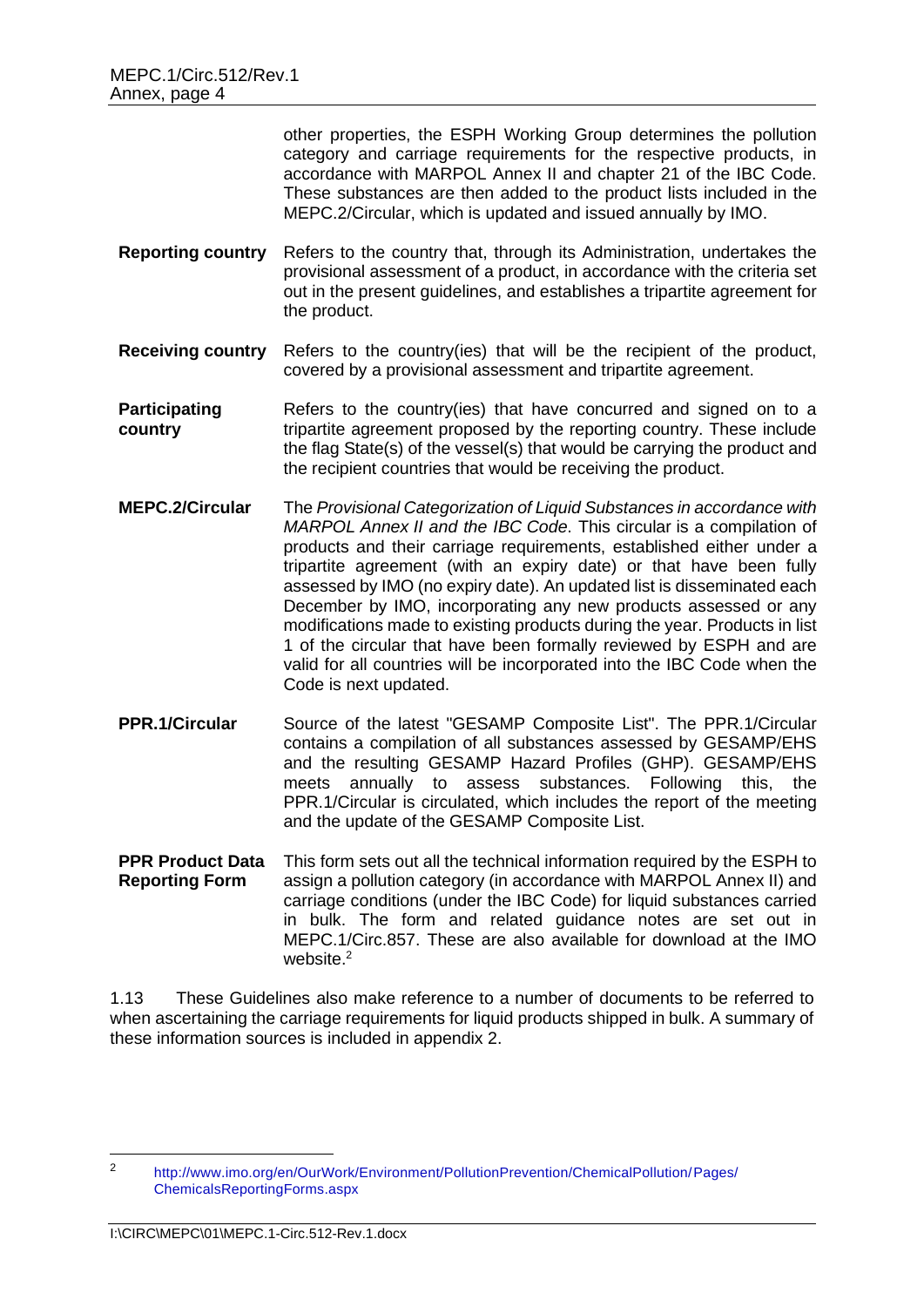other properties, the ESPH Working Group determines the pollution category and carriage requirements for the respective products, in accordance with MARPOL Annex II and chapter 21 of the IBC Code. These substances are then added to the product lists included in the MEPC.2/Circular, which is updated and issued annually by IMO.

- **Reporting country** Refers to the country that, through its Administration, undertakes the provisional assessment of a product, in accordance with the criteria set out in the present guidelines, and establishes a tripartite agreement for the product.
- **Receiving country** Refers to the country(ies) that will be the recipient of the product, covered by a provisional assessment and tripartite agreement.

**Participating country** Refers to the country(ies) that have concurred and signed on to a tripartite agreement proposed by the reporting country. These include the flag State(s) of the vessel(s) that would be carrying the product and the recipient countries that would be receiving the product.

- **MEPC.2/Circular** The *Provisional Categorization of Liquid Substances in accordance with MARPOL Annex II and the IBC Code*. This circular is a compilation of products and their carriage requirements, established either under a tripartite agreement (with an expiry date) or that have been fully assessed by IMO (no expiry date). An updated list is disseminated each December by IMO, incorporating any new products assessed or any modifications made to existing products during the year. Products in list 1 of the circular that have been formally reviewed by ESPH and are valid for all countries will be incorporated into the IBC Code when the Code is next updated.
- **PPR.1/Circular** Source of the latest "GESAMP Composite List". The PPR.1/Circular contains a compilation of all substances assessed by GESAMP/EHS and the resulting GESAMP Hazard Profiles (GHP). GESAMP/EHS meets annually to assess substances. Following this, the PPR.1/Circular is circulated, which includes the report of the meeting and the update of the GESAMP Composite List.
- **PPR Product Data Reporting Form** This form sets out all the technical information required by the ESPH to assign a pollution category (in accordance with MARPOL Annex II) and carriage conditions (under the IBC Code) for liquid substances carried in bulk. The form and related guidance notes are set out in MEPC.1/Circ.857. These are also available for download at the IMO website.<sup>2</sup>

1.13 These Guidelines also make reference to a number of documents to be referred to when ascertaining the carriage requirements for liquid products shipped in bulk. A summary of these information sources is included in appendix 2.

<sup>2</sup> [http://www.imo.org/en/OurWork/Environment/PollutionPrevention/ChemicalPollution/Pages/](http://www.imo.org/en/OurWork/Environment/PollutionPrevention/ChemicalPollution/Pages/ChemicalsReportingForms.aspx) [ChemicalsReportingForms.aspx](http://www.imo.org/en/OurWork/Environment/PollutionPrevention/ChemicalPollution/Pages/ChemicalsReportingForms.aspx)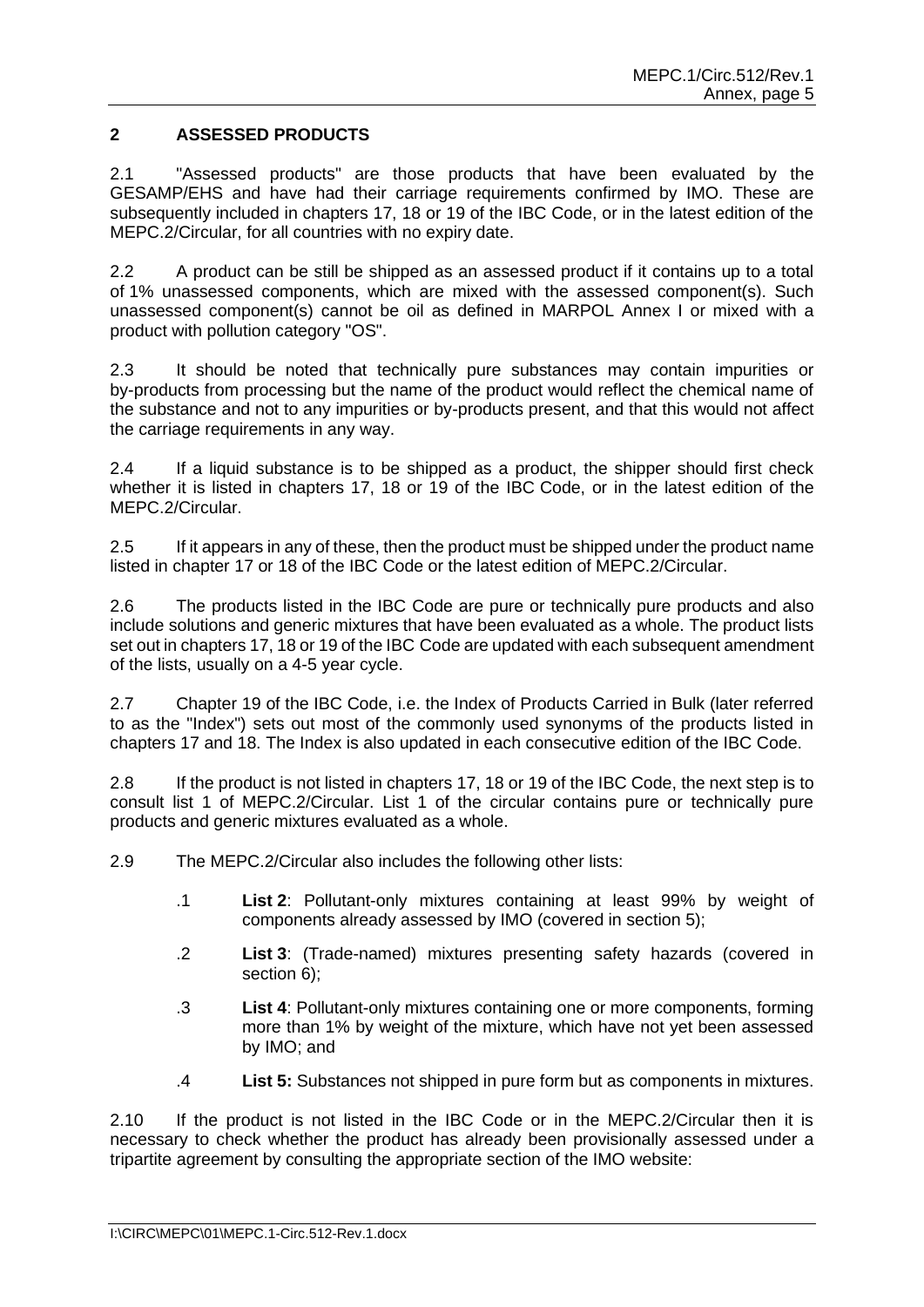# **2 ASSESSED PRODUCTS**

2.1 "Assessed products" are those products that have been evaluated by the GESAMP/EHS and have had their carriage requirements confirmed by IMO. These are subsequently included in chapters 17, 18 or 19 of the IBC Code, or in the latest edition of the MEPC.2/Circular, for all countries with no expiry date.

2.2 A product can be still be shipped as an assessed product if it contains up to a total of 1% unassessed components, which are mixed with the assessed component(s). Such unassessed component(s) cannot be oil as defined in MARPOL Annex I or mixed with a product with pollution category "OS".

2.3 It should be noted that technically pure substances may contain impurities or by-products from processing but the name of the product would reflect the chemical name of the substance and not to any impurities or by-products present, and that this would not affect the carriage requirements in any way.

2.4 If a liquid substance is to be shipped as a product, the shipper should first check whether it is listed in chapters 17, 18 or 19 of the IBC Code, or in the latest edition of the MEPC.2/Circular.

2.5 If it appears in any of these, then the product must be shipped under the product name listed in chapter 17 or 18 of the IBC Code or the latest edition of MEPC.2/Circular.

2.6 The products listed in the IBC Code are pure or technically pure products and also include solutions and generic mixtures that have been evaluated as a whole. The product lists set out in chapters 17, 18 or 19 of the IBC Code are updated with each subsequent amendment of the lists, usually on a 4-5 year cycle.

2.7 Chapter 19 of the IBC Code, i.e. the Index of Products Carried in Bulk (later referred to as the "Index") sets out most of the commonly used synonyms of the products listed in chapters 17 and 18. The Index is also updated in each consecutive edition of the IBC Code.

2.8 If the product is not listed in chapters 17, 18 or 19 of the IBC Code, the next step is to consult list 1 of MEPC.2/Circular. List 1 of the circular contains pure or technically pure products and generic mixtures evaluated as a whole.

2.9 The MEPC.2/Circular also includes the following other lists:

- .1 **List 2**: Pollutant-only mixtures containing at least 99% by weight of components already assessed by IMO (covered in section 5);
- .2 **List 3**: (Trade-named) mixtures presenting safety hazards (covered in section 6);
- .3 **List 4**: Pollutant-only mixtures containing one or more components, forming more than 1% by weight of the mixture, which have not yet been assessed by IMO; and
- .4 **List 5:** Substances not shipped in pure form but as components in mixtures.

2.10 If the product is not listed in the IBC Code or in the MEPC.2/Circular then it is necessary to check whether the product has already been provisionally assessed under a tripartite agreement by consulting the appropriate section of the IMO website: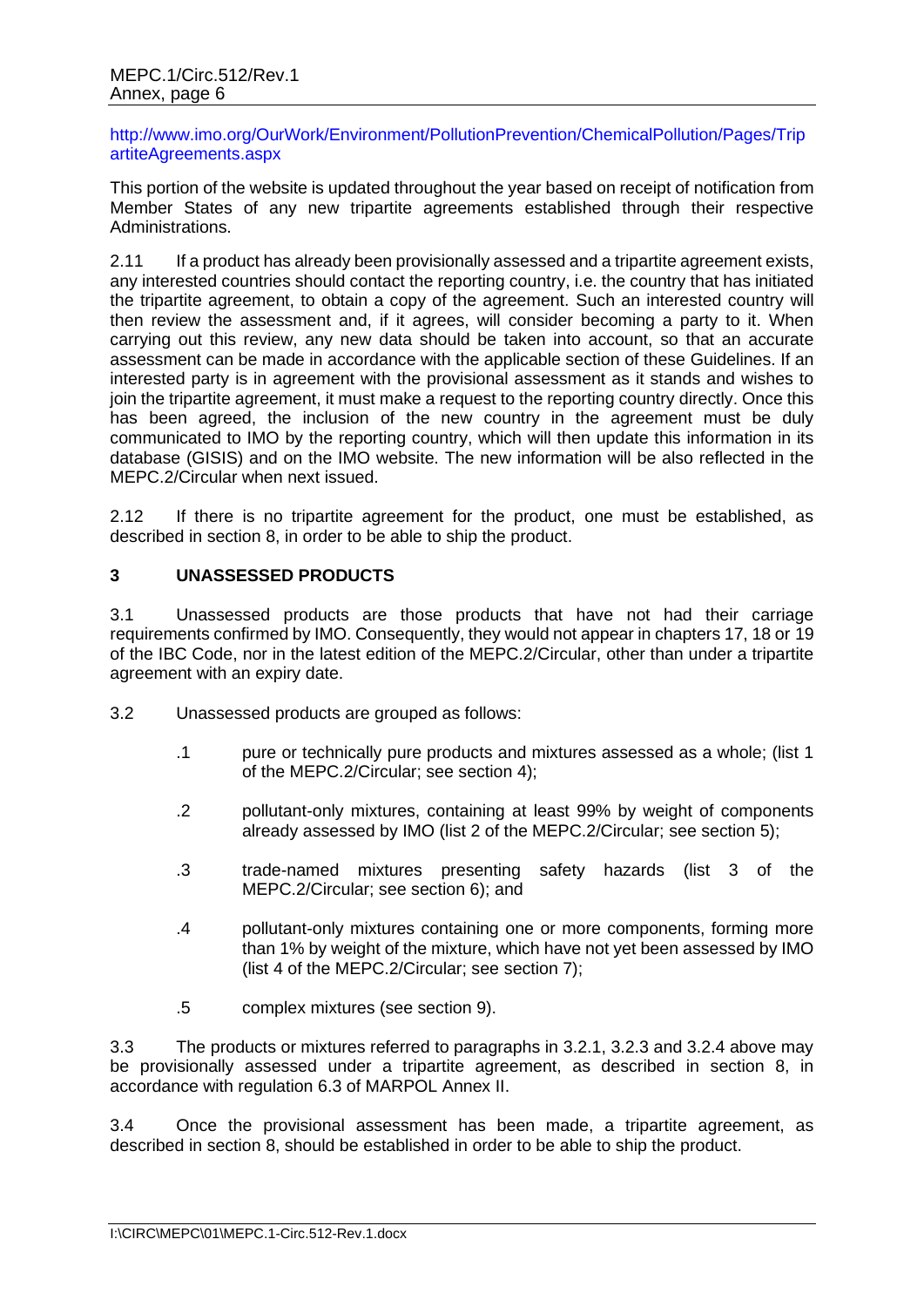http://www.imo.org/OurWork/Environment/PollutionPrevention/ChemicalPollution/Pages/Trip artiteAgreements.aspx

This portion of the website is updated throughout the year based on receipt of notification from Member States of any new tripartite agreements established through their respective Administrations.

2.11 If a product has already been provisionally assessed and a tripartite agreement exists, any interested countries should contact the reporting country, i.e. the country that has initiated the tripartite agreement, to obtain a copy of the agreement. Such an interested country will then review the assessment and, if it agrees, will consider becoming a party to it. When carrying out this review, any new data should be taken into account, so that an accurate assessment can be made in accordance with the applicable section of these Guidelines. If an interested party is in agreement with the provisional assessment as it stands and wishes to join the tripartite agreement, it must make a request to the reporting country directly. Once this has been agreed, the inclusion of the new country in the agreement must be duly communicated to IMO by the reporting country, which will then update this information in its database (GISIS) and on the IMO website. The new information will be also reflected in the MEPC.2/Circular when next issued.

2.12 If there is no tripartite agreement for the product, one must be established, as described in section 8, in order to be able to ship the product.

# **3 UNASSESSED PRODUCTS**

3.1 Unassessed products are those products that have not had their carriage requirements confirmed by IMO. Consequently, they would not appear in chapters 17, 18 or 19 of the IBC Code, nor in the latest edition of the MEPC.2/Circular, other than under a tripartite agreement with an expiry date.

- 3.2 Unassessed products are grouped as follows:
	- .1 pure or technically pure products and mixtures assessed as a whole; (list 1 of the MEPC.2/Circular; see section 4);
	- .2 pollutant-only mixtures, containing at least 99% by weight of components already assessed by IMO (list 2 of the MEPC.2/Circular; see section 5);
	- .3 trade-named mixtures presenting safety hazards (list 3 of the MEPC.2/Circular; see section 6); and
	- .4 pollutant-only mixtures containing one or more components, forming more than 1% by weight of the mixture, which have not yet been assessed by IMO (list 4 of the MEPC.2/Circular; see section 7);
	- .5 complex mixtures (see section 9).

3.3 The products or mixtures referred to paragraphs in 3.2.1, 3.2.3 and 3.2.4 above may be provisionally assessed under a tripartite agreement, as described in section 8, in accordance with regulation 6.3 of MARPOL Annex II.

3.4 Once the provisional assessment has been made, a tripartite agreement, as described in section 8, should be established in order to be able to ship the product.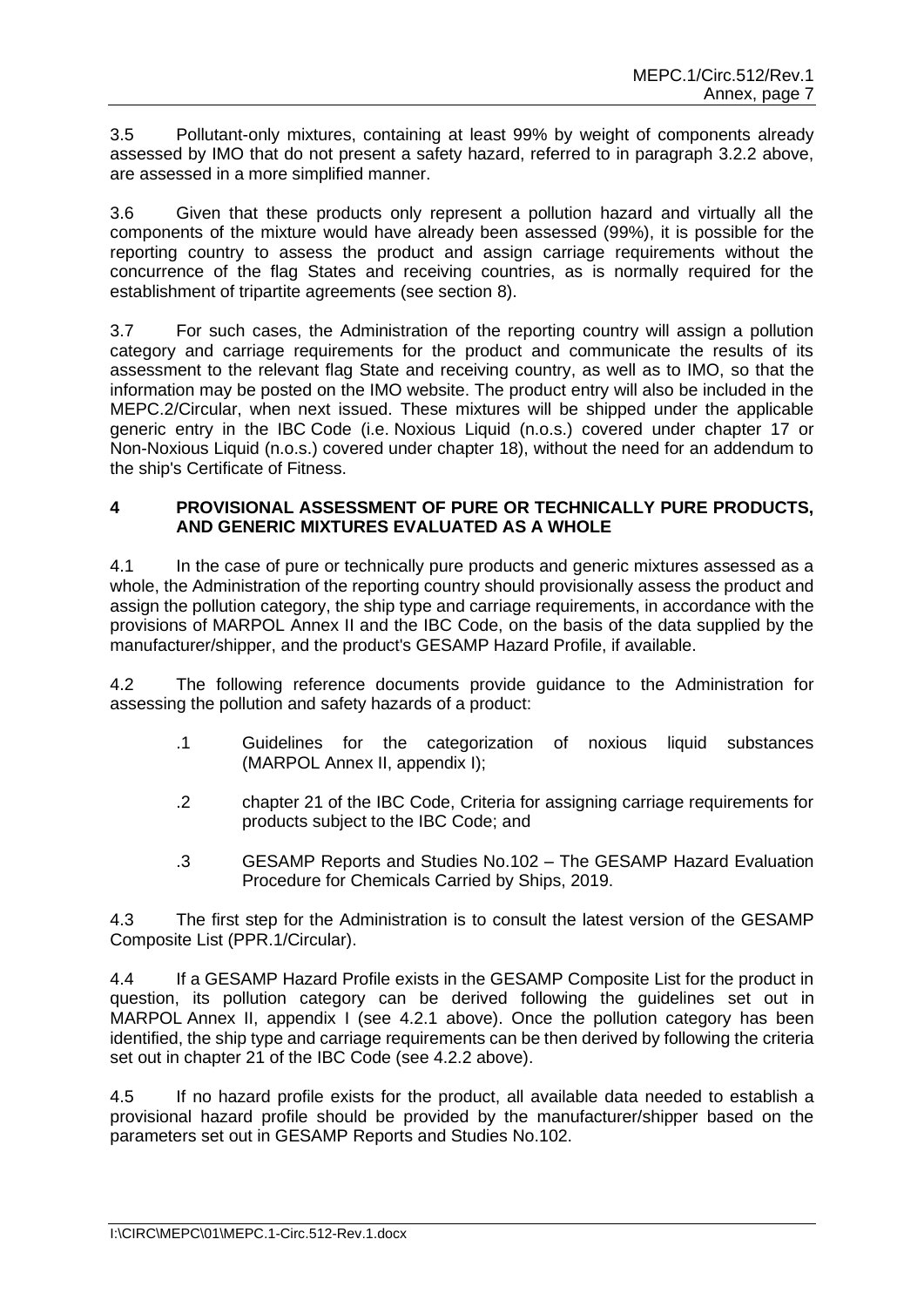3.5 Pollutant-only mixtures, containing at least 99% by weight of components already assessed by IMO that do not present a safety hazard, referred to in paragraph 3.2.2 above, are assessed in a more simplified manner.

3.6 Given that these products only represent a pollution hazard and virtually all the components of the mixture would have already been assessed (99%), it is possible for the reporting country to assess the product and assign carriage requirements without the concurrence of the flag States and receiving countries, as is normally required for the establishment of tripartite agreements (see section 8).

3.7 For such cases, the Administration of the reporting country will assign a pollution category and carriage requirements for the product and communicate the results of its assessment to the relevant flag State and receiving country, as well as to IMO, so that the information may be posted on the IMO website. The product entry will also be included in the MEPC.2/Circular, when next issued. These mixtures will be shipped under the applicable generic entry in the IBC Code (i.e. Noxious Liquid (n.o.s.) covered under chapter 17 or Non-Noxious Liquid (n.o.s.) covered under chapter 18), without the need for an addendum to the ship's Certificate of Fitness.

# **4 PROVISIONAL ASSESSMENT OF PURE OR TECHNICALLY PURE PRODUCTS, AND GENERIC MIXTURES EVALUATED AS A WHOLE**

4.1 In the case of pure or technically pure products and generic mixtures assessed as a whole, the Administration of the reporting country should provisionally assess the product and assign the pollution category, the ship type and carriage requirements, in accordance with the provisions of MARPOL Annex II and the IBC Code, on the basis of the data supplied by the manufacturer/shipper, and the product's GESAMP Hazard Profile, if available.

4.2 The following reference documents provide guidance to the Administration for assessing the pollution and safety hazards of a product:

- .1 Guidelines for the categorization of noxious liquid substances (MARPOL Annex II, appendix I);
- .2 chapter 21 of the IBC Code, Criteria for assigning carriage requirements for products subject to the IBC Code; and
- .3 GESAMP Reports and Studies No.102 The GESAMP Hazard Evaluation Procedure for Chemicals Carried by Ships, 2019.

4.3 The first step for the Administration is to consult the latest version of the GESAMP Composite List (PPR.1/Circular).

4.4 If a GESAMP Hazard Profile exists in the GESAMP Composite List for the product in question, its pollution category can be derived following the guidelines set out in MARPOL Annex II, appendix I (see 4.2.1 above). Once the pollution category has been identified, the ship type and carriage requirements can be then derived by following the criteria set out in chapter 21 of the IBC Code (see 4.2.2 above).

4.5 If no hazard profile exists for the product, all available data needed to establish a provisional hazard profile should be provided by the manufacturer/shipper based on the parameters set out in GESAMP Reports and Studies No.102.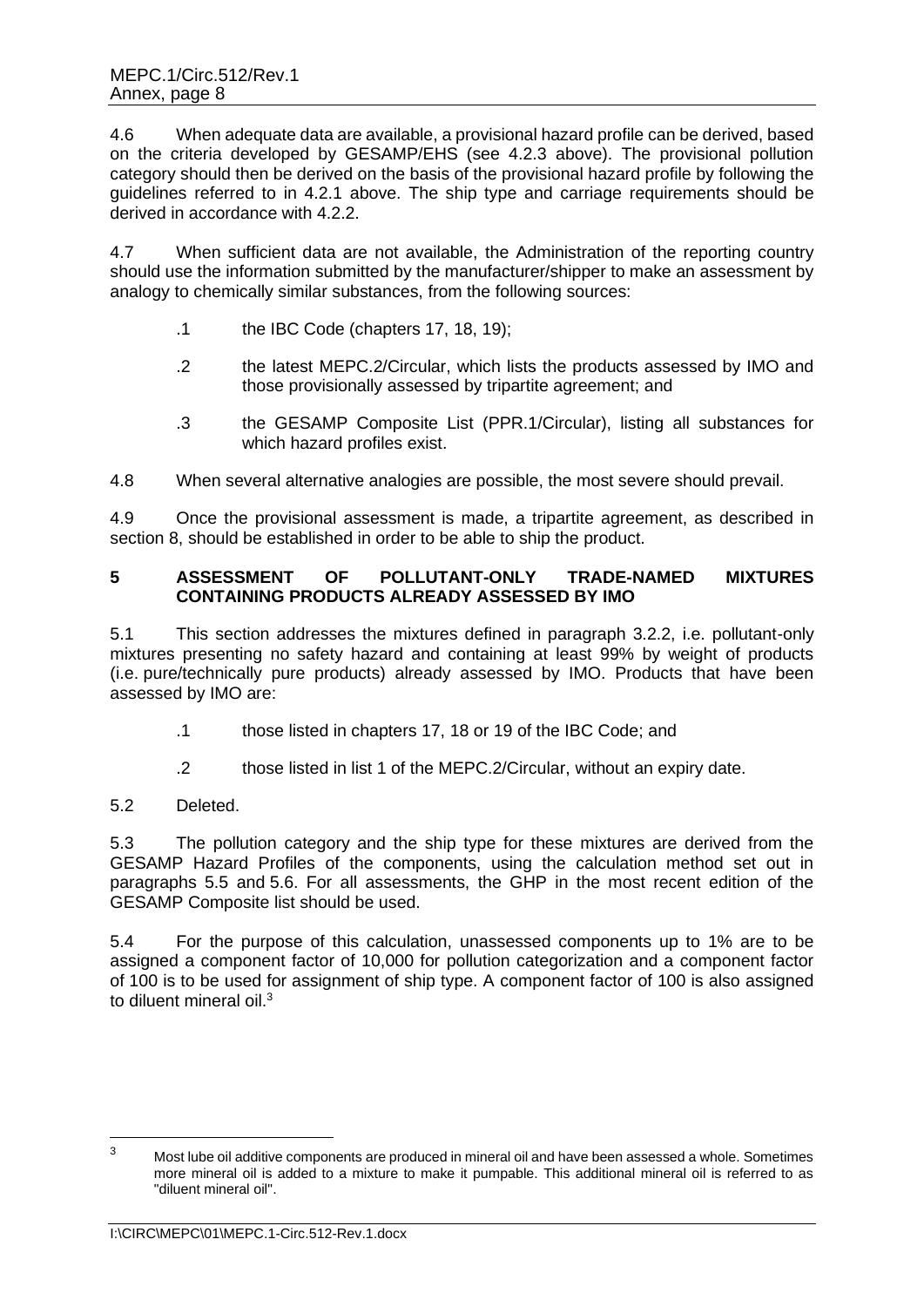4.6 When adequate data are available, a provisional hazard profile can be derived, based on the criteria developed by GESAMP/EHS (see 4.2.3 above). The provisional pollution category should then be derived on the basis of the provisional hazard profile by following the guidelines referred to in 4.2.1 above. The ship type and carriage requirements should be derived in accordance with 4.2.2.

4.7 When sufficient data are not available, the Administration of the reporting country should use the information submitted by the manufacturer/shipper to make an assessment by analogy to chemically similar substances, from the following sources:

- .1 the IBC Code (chapters 17, 18, 19);
- .2 the latest MEPC.2/Circular, which lists the products assessed by IMO and those provisionally assessed by tripartite agreement; and
- .3 the GESAMP Composite List (PPR.1/Circular), listing all substances for which hazard profiles exist.

4.8 When several alternative analogies are possible, the most severe should prevail.

4.9 Once the provisional assessment is made, a tripartite agreement, as described in section 8, should be established in order to be able to ship the product.

# **5 ASSESSMENT OF POLLUTANT-ONLY TRADE-NAMED MIXTURES CONTAINING PRODUCTS ALREADY ASSESSED BY IMO**

5.1 This section addresses the mixtures defined in paragraph 3.2.2, i.e. pollutant-only mixtures presenting no safety hazard and containing at least 99% by weight of products (i.e. pure/technically pure products) already assessed by IMO. Products that have been assessed by IMO are:

- .1 those listed in chapters 17, 18 or 19 of the IBC Code; and
- .2 those listed in list 1 of the MEPC.2/Circular, without an expiry date.

# 5.2 Deleted.

5.3 The pollution category and the ship type for these mixtures are derived from the GESAMP Hazard Profiles of the components, using the calculation method set out in paragraphs 5.5 and 5.6. For all assessments, the GHP in the most recent edition of the GESAMP Composite list should be used.

5.4 For the purpose of this calculation, unassessed components up to 1% are to be assigned a component factor of 10,000 for pollution categorization and a component factor of 100 is to be used for assignment of ship type. A component factor of 100 is also assigned to diluent mineral oil.<sup>3</sup>

<sup>&</sup>lt;sup>3</sup> Most lube oil additive components are produced in mineral oil and have been assessed a whole. Sometimes more mineral oil is added to a mixture to make it pumpable. This additional mineral oil is referred to as "diluent mineral oil".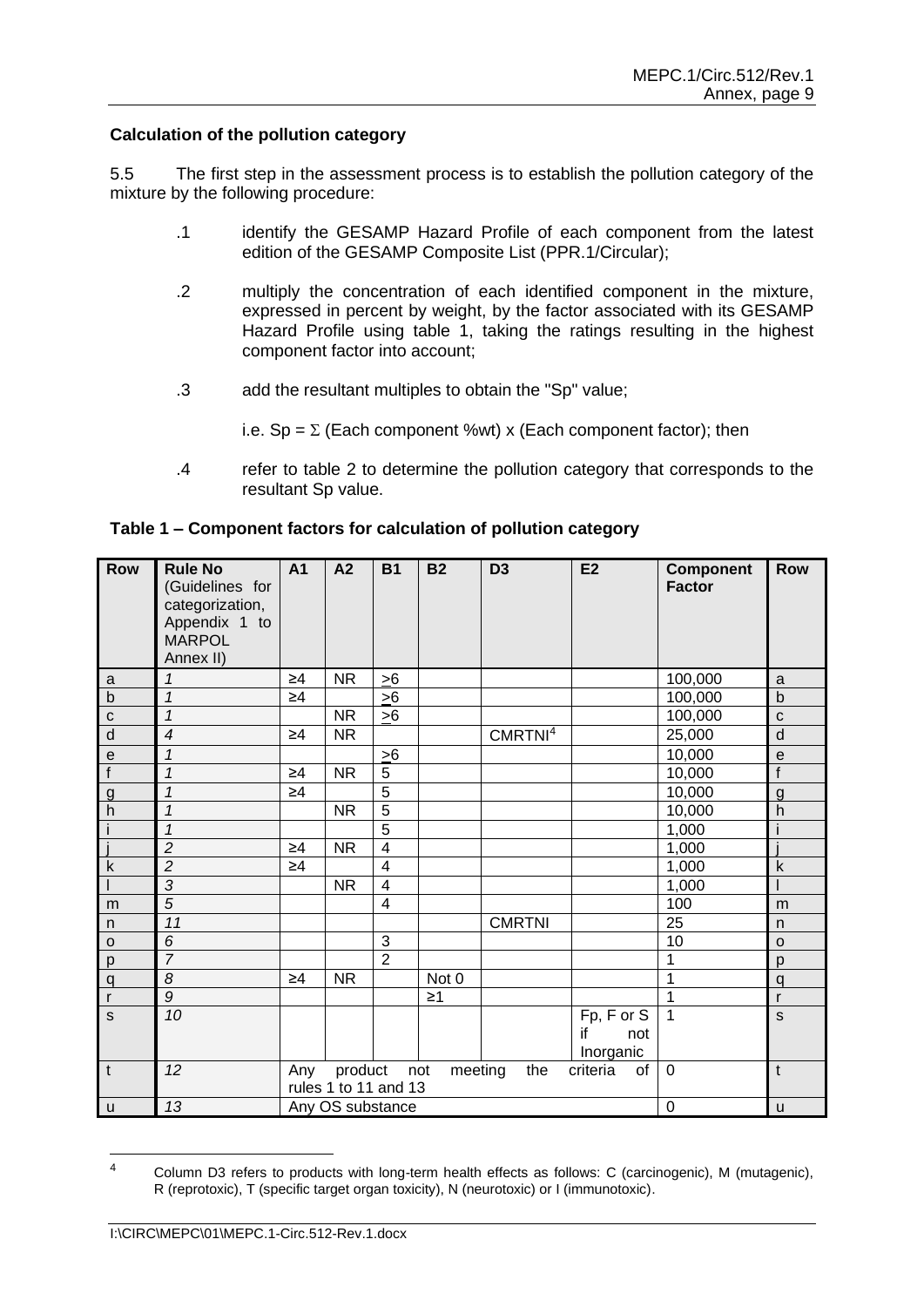#### **Calculation of the pollution category**

5.5 The first step in the assessment process is to establish the pollution category of the mixture by the following procedure:

- .1 identify the GESAMP Hazard Profile of each component from the latest edition of the GESAMP Composite List (PPR.1/Circular);
- .2 multiply the concentration of each identified component in the mixture, expressed in percent by weight, by the factor associated with its GESAMP Hazard Profile using table 1, taking the ratings resulting in the highest component factor into account;
- .3 add the resultant multiples to obtain the "Sp" value;

i.e.  $Sp = \Sigma$  (Each component %wt) x (Each component factor); then

.4 refer to table 2 to determine the pollution category that corresponds to the resultant Sp value.

| Row                      | <b>Rule No</b><br>(Guidelines for<br>categorization,<br>Appendix 1 to<br><b>MARPOL</b><br>Annex II) | A <sub>1</sub>                                                                    | A2        | <b>B1</b>               | <b>B2</b> | D <sub>3</sub>      | E <sub>2</sub>                       | <b>Component</b><br><b>Factor</b> | <b>Row</b>                                 |
|--------------------------|-----------------------------------------------------------------------------------------------------|-----------------------------------------------------------------------------------|-----------|-------------------------|-----------|---------------------|--------------------------------------|-----------------------------------|--------------------------------------------|
| a                        | 1                                                                                                   | $\geq 4$                                                                          | <b>NR</b> | >6                      |           |                     |                                      | 100,000                           | a                                          |
| $\overline{b}$           | $\mathbf{1}$                                                                                        | $\geq 4$                                                                          |           | >6                      |           |                     |                                      | 100,000                           | $\mathsf b$                                |
| $\mathbf{c}$             | $\mathbf{1}$                                                                                        |                                                                                   | <b>NR</b> | >6                      |           |                     |                                      | 100,000                           | $\mathbf{C}$                               |
| $\overline{d}$           | $\overline{4}$                                                                                      | $\geq 4$                                                                          | <b>NR</b> |                         |           | CMRTNI <sup>4</sup> |                                      | 25,000                            | $\overline{d}$                             |
| $\mathbf{e}$             | 1                                                                                                   |                                                                                   |           | >6                      |           |                     |                                      | 10,000                            | $\mathsf{e}% _{0}\left( \mathsf{e}\right)$ |
| $\overline{f}$           | $\mathcal I$                                                                                        | $\geq 4$                                                                          | <b>NR</b> | $\overline{5}$          |           |                     |                                      | 10,000                            | $\overline{f}$                             |
| $\frac{g}{h}$            | 1                                                                                                   | $\geq 4$                                                                          |           | 5                       |           |                     |                                      | 10,000                            | $\overline{g}$                             |
|                          | $\mathcal I$                                                                                        |                                                                                   | <b>NR</b> | $\overline{5}$          |           |                     |                                      | 10,000                            | $\mathsf{h}$                               |
| $\mathbf{i}$             | $\mathbf{1}$                                                                                        |                                                                                   |           | $\overline{5}$          |           |                     |                                      | 1,000                             |                                            |
| $\overline{\mathbf{j}}$  | $\overline{c}$                                                                                      | $\geq 4$                                                                          | <b>NR</b> | $\overline{\mathbf{4}}$ |           |                     |                                      | 1,000                             |                                            |
| $\sf k$                  | $\overline{c}$                                                                                      | $\geq 4$                                                                          |           | $\overline{4}$          |           |                     |                                      | 1,000                             | $\sf k$                                    |
| $\overline{\phantom{a}}$ | $\overline{3}$                                                                                      |                                                                                   | <b>NR</b> | $\overline{\mathbf{4}}$ |           |                     |                                      | 1,000                             |                                            |
| m                        | 5                                                                                                   |                                                                                   |           | $\overline{4}$          |           |                     |                                      | 100                               | m                                          |
| $\mathsf{n}$             | $\overline{11}$                                                                                     |                                                                                   |           |                         |           | <b>CMRTNI</b>       |                                      | 25                                | n                                          |
| $\circ$                  | 6                                                                                                   |                                                                                   |           | 3                       |           |                     |                                      | 10                                | $\circ$                                    |
| $\overline{p}$           | $\overline{7}$                                                                                      |                                                                                   |           | $\overline{2}$          |           |                     |                                      | 1                                 | p                                          |
| $\mathsf{q}$             | 8                                                                                                   | $\geq 4$                                                                          | <b>NR</b> |                         | Not 0     |                     |                                      | 1                                 | q                                          |
| $\mathbf{r}$             | $\overline{g}$                                                                                      |                                                                                   |           |                         | $\geq$ 1  |                     |                                      | 1                                 | $\mathsf{r}$                               |
| $\overline{\mathbf{s}}$  | 10                                                                                                  |                                                                                   |           |                         |           |                     | Fp, F or S<br>if<br>not<br>Inorganic | 1                                 | $\mathsf S$                                |
| $\mathbf t$              | 12                                                                                                  | criteria<br>of<br>product<br>the<br>Any<br>not<br>meeting<br>rules 1 to 11 and 13 |           |                         |           |                     | $\Omega$                             | $\mathsf{t}$                      |                                            |
| $\mathsf{u}$             | 13                                                                                                  | Any OS substance                                                                  |           |                         |           |                     | 0                                    | u                                 |                                            |

#### **Table 1 – Component factors for calculation of pollution category**

<sup>4</sup> Column D3 refers to products with long-term health effects as follows: C (carcinogenic), M (mutagenic), R (reprotoxic), T (specific target organ toxicity), N (neurotoxic) or I (immunotoxic).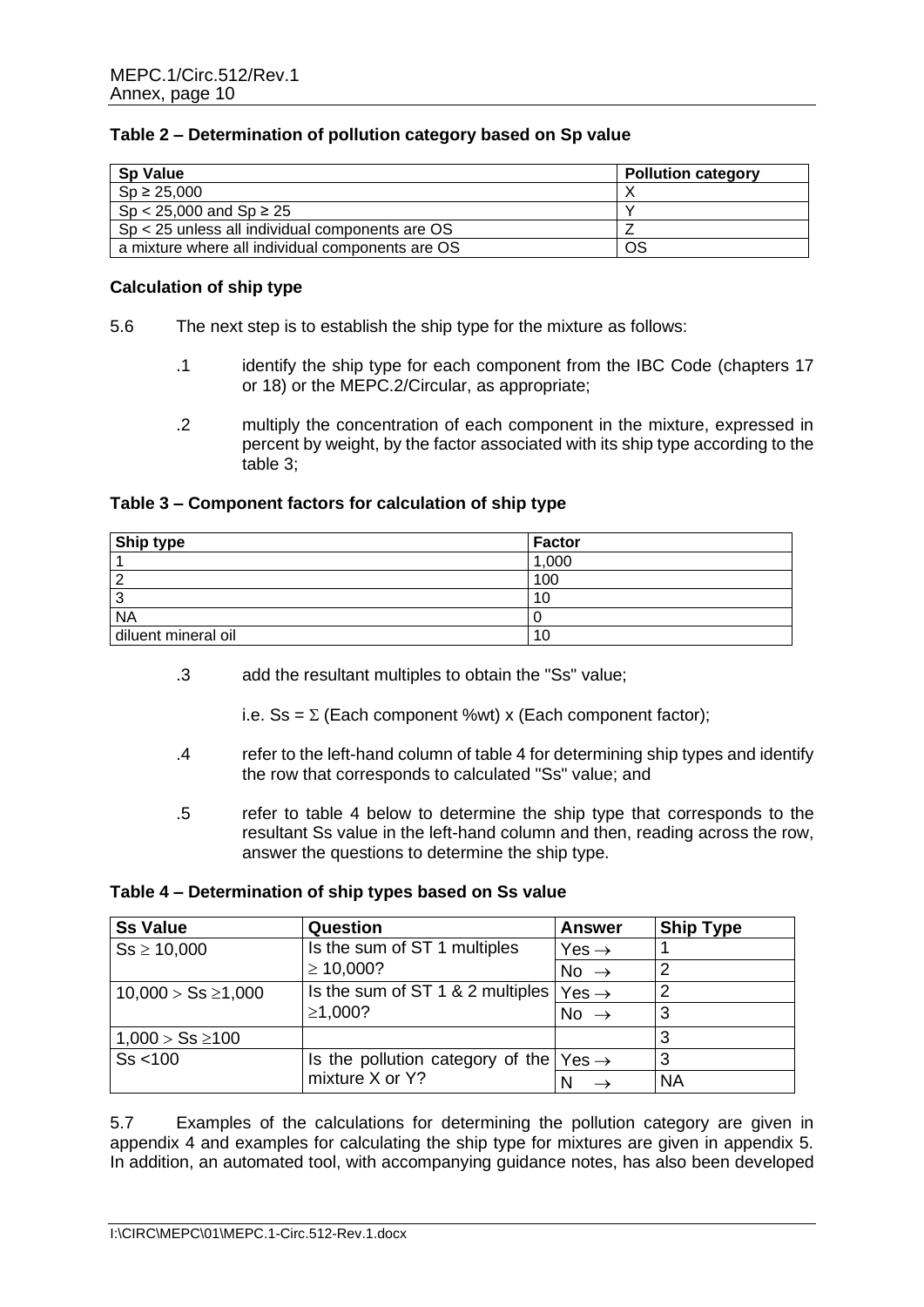# **Table 2 – Determination of pollution category based on Sp value**

| <b>Sp Value</b>                                   | <b>Pollution category</b> |
|---------------------------------------------------|---------------------------|
| $Sp \ge 25,000$                                   |                           |
| $Sp < 25,000$ and $Sp \ge 25$                     |                           |
| $Sp < 25$ unless all individual components are OS |                           |
| a mixture where all individual components are OS  | OS                        |

#### **Calculation of ship type**

- 5.6 The next step is to establish the ship type for the mixture as follows:
	- .1 identify the ship type for each component from the IBC Code (chapters 17 or 18) or the MEPC.2/Circular, as appropriate;
	- .2 multiply the concentration of each component in the mixture, expressed in percent by weight, by the factor associated with its ship type according to the table 3;

# **Table 3 – Component factors for calculation of ship type**

| <b>Ship type</b>              | Factor |
|-------------------------------|--------|
|                               | 1,000  |
| c                             | 100    |
| ◠<br>$\overline{\phantom{a}}$ |        |
| <b>NA</b>                     |        |
| diluent mineral oil           |        |

.3 add the resultant multiples to obtain the "Ss" value;

i.e. Ss =  $\Sigma$  (Each component %wt) x (Each component factor);

- .4 refer to the left-hand column of table 4 for determining ship types and identify the row that corresponds to calculated "Ss" value; and
- .5 refer to table 4 below to determine the ship type that corresponds to the resultant Ss value in the left-hand column and then, reading across the row, answer the questions to determine the ship type.

#### **Table 4 – Determination of ship types based on Ss value**

| <b>Ss Value</b>         | Question                                                  | <b>Answer</b>     | <b>Ship Type</b> |
|-------------------------|-----------------------------------------------------------|-------------------|------------------|
| $Ss \ge 10,000$         | Is the sum of ST 1 multiples                              | Yes $\rightarrow$ |                  |
|                         | $\geq 10,000?$                                            | No $\rightarrow$  |                  |
| $10,000 > Ss \ge 1,000$ | Is the sum of ST 1 & 2 multiples                          | $Yes \rightarrow$ |                  |
|                         | ≥1,000?                                                   | No $\rightarrow$  | 3                |
| $1,000 > Ss \ge 100$    |                                                           |                   | 3                |
| Ss < 100                | Is the pollution category of the $\text{Yes} \rightarrow$ |                   | 3                |
|                         | mixture X or Y?                                           |                   | <b>NA</b>        |

5.7 Examples of the calculations for determining the pollution category are given in appendix 4 and examples for calculating the ship type for mixtures are given in appendix 5. In addition, an automated tool, with accompanying guidance notes, has also been developed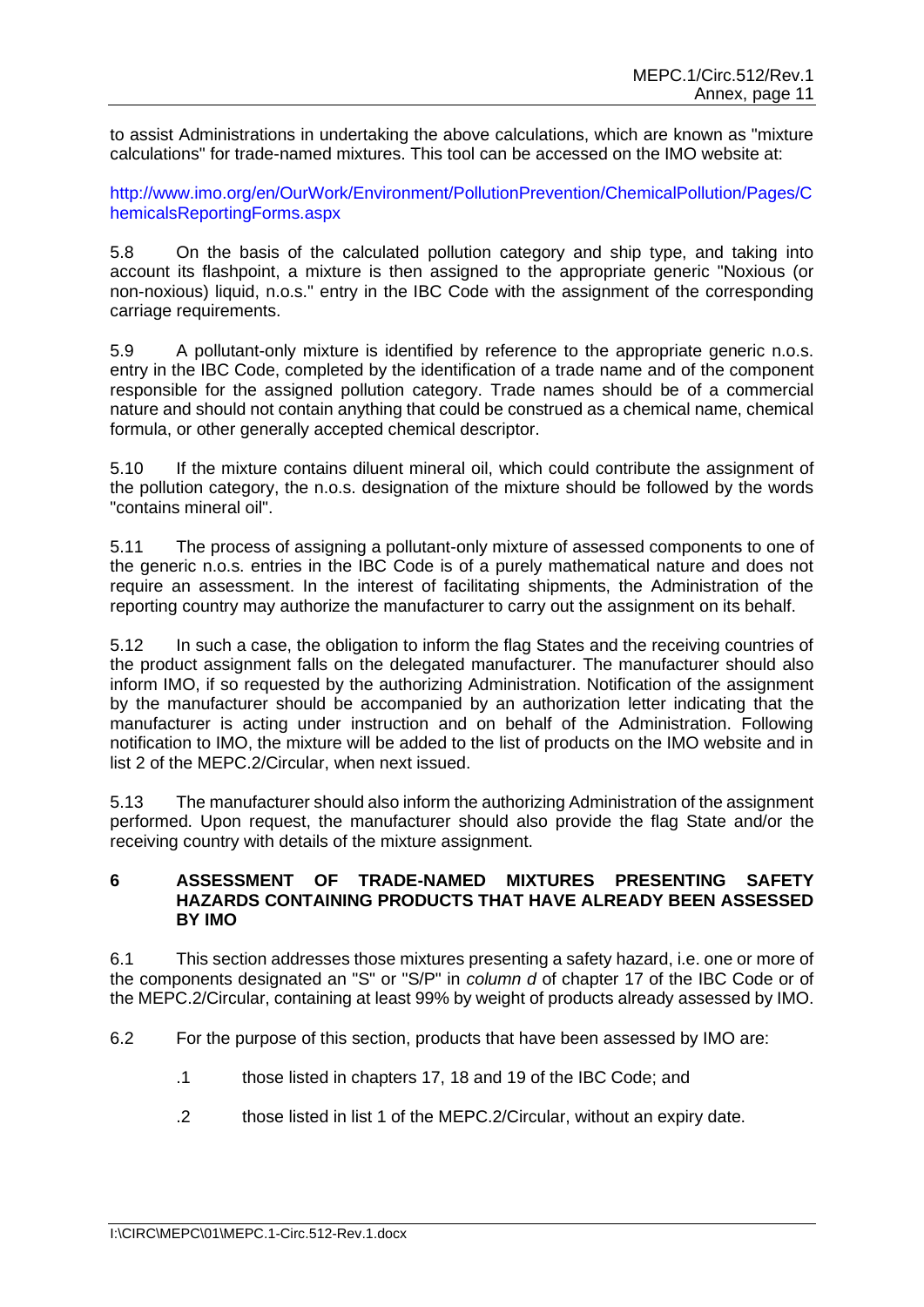to assist Administrations in undertaking the above calculations, which are known as "mixture calculations" for trade-named mixtures. This tool can be accessed on the IMO website at:

http://www.imo.org/en/OurWork/Environment/PollutionPrevention/ChemicalPollution/Pages/C hemicalsReportingForms.aspx

5.8 On the basis of the calculated pollution category and ship type, and taking into account its flashpoint, a mixture is then assigned to the appropriate generic "Noxious (or non-noxious) liquid, n.o.s." entry in the IBC Code with the assignment of the corresponding carriage requirements.

5.9 A pollutant-only mixture is identified by reference to the appropriate generic n.o.s. entry in the IBC Code, completed by the identification of a trade name and of the component responsible for the assigned pollution category. Trade names should be of a commercial nature and should not contain anything that could be construed as a chemical name, chemical formula, or other generally accepted chemical descriptor.

5.10 If the mixture contains diluent mineral oil, which could contribute the assignment of the pollution category, the n.o.s. designation of the mixture should be followed by the words "contains mineral oil".

5.11 The process of assigning a pollutant-only mixture of assessed components to one of the generic n.o.s. entries in the IBC Code is of a purely mathematical nature and does not require an assessment. In the interest of facilitating shipments, the Administration of the reporting country may authorize the manufacturer to carry out the assignment on its behalf.

5.12 In such a case, the obligation to inform the flag States and the receiving countries of the product assignment falls on the delegated manufacturer. The manufacturer should also inform IMO, if so requested by the authorizing Administration. Notification of the assignment by the manufacturer should be accompanied by an authorization letter indicating that the manufacturer is acting under instruction and on behalf of the Administration. Following notification to IMO, the mixture will be added to the list of products on the IMO website and in list 2 of the MEPC.2/Circular, when next issued.

5.13 The manufacturer should also inform the authorizing Administration of the assignment performed. Upon request, the manufacturer should also provide the flag State and/or the receiving country with details of the mixture assignment.

#### **6 ASSESSMENT OF TRADE-NAMED MIXTURES PRESENTING SAFETY HAZARDS CONTAINING PRODUCTS THAT HAVE ALREADY BEEN ASSESSED BY IMO**

6.1 This section addresses those mixtures presenting a safety hazard, i.e. one or more of the components designated an "S" or "S/P" in *column d* of chapter 17 of the IBC Code or of the MEPC.2/Circular, containing at least 99% by weight of products already assessed by IMO.

- 6.2 For the purpose of this section, products that have been assessed by IMO are:
	- .1 those listed in chapters 17, 18 and 19 of the IBC Code; and
	- .2 those listed in list 1 of the MEPC.2/Circular, without an expiry date.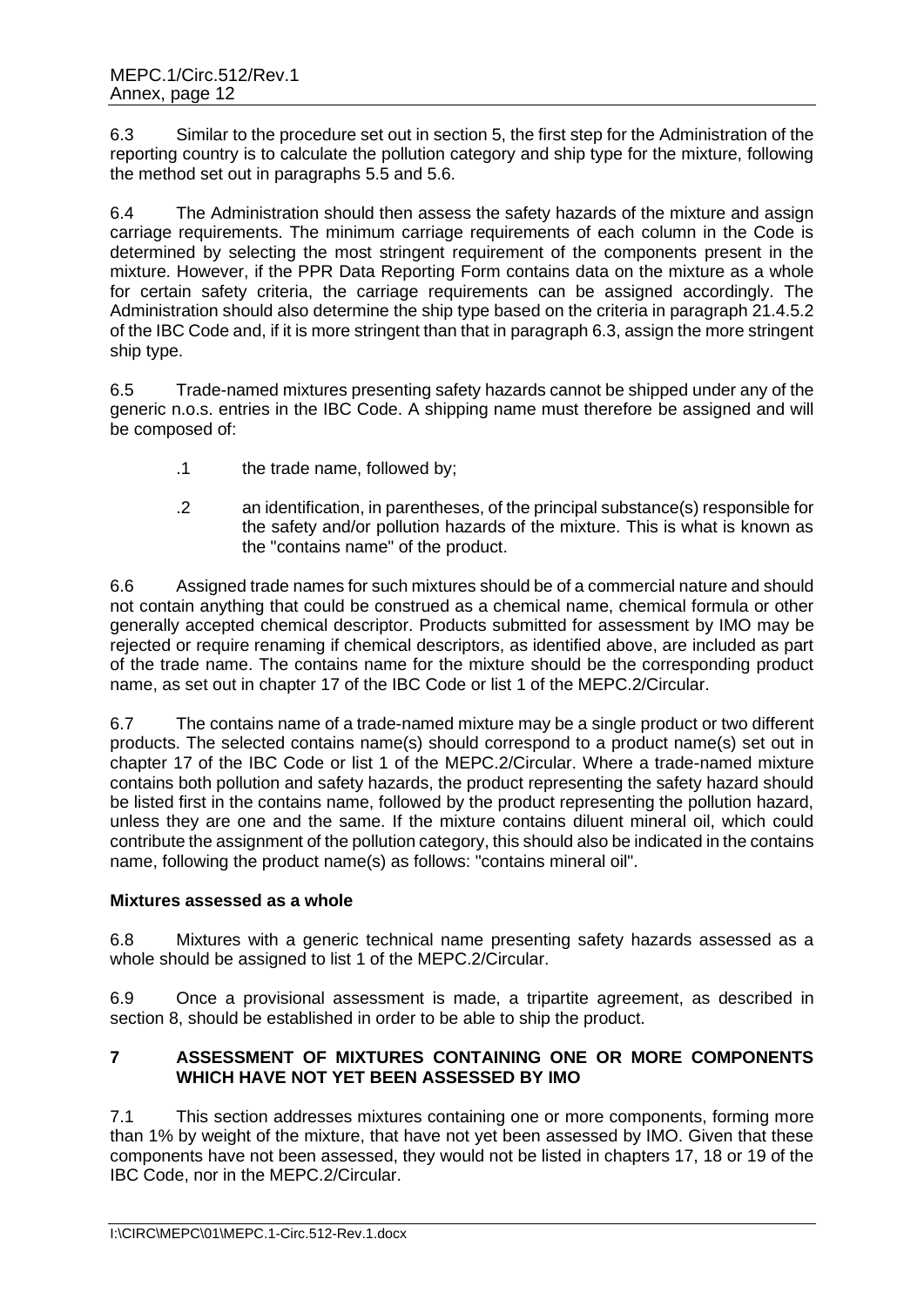6.3 Similar to the procedure set out in section 5, the first step for the Administration of the reporting country is to calculate the pollution category and ship type for the mixture, following the method set out in paragraphs 5.5 and 5.6.

6.4 The Administration should then assess the safety hazards of the mixture and assign carriage requirements. The minimum carriage requirements of each column in the Code is determined by selecting the most stringent requirement of the components present in the mixture. However, if the PPR Data Reporting Form contains data on the mixture as a whole for certain safety criteria, the carriage requirements can be assigned accordingly. The Administration should also determine the ship type based on the criteria in paragraph 21.4.5.2 of the IBC Code and, if it is more stringent than that in paragraph 6.3, assign the more stringent ship type.

6.5 Trade-named mixtures presenting safety hazards cannot be shipped under any of the generic n.o.s. entries in the IBC Code. A shipping name must therefore be assigned and will be composed of:

- .1 the trade name, followed by;
- .2 an identification, in parentheses, of the principal substance(s) responsible for the safety and/or pollution hazards of the mixture. This is what is known as the "contains name" of the product.

6.6 Assigned trade names for such mixtures should be of a commercial nature and should not contain anything that could be construed as a chemical name, chemical formula or other generally accepted chemical descriptor. Products submitted for assessment by IMO may be rejected or require renaming if chemical descriptors, as identified above, are included as part of the trade name. The contains name for the mixture should be the corresponding product name, as set out in chapter 17 of the IBC Code or list 1 of the MEPC.2/Circular.

6.7 The contains name of a trade-named mixture may be a single product or two different products. The selected contains name(s) should correspond to a product name(s) set out in chapter 17 of the IBC Code or list 1 of the MEPC.2/Circular. Where a trade-named mixture contains both pollution and safety hazards, the product representing the safety hazard should be listed first in the contains name, followed by the product representing the pollution hazard, unless they are one and the same. If the mixture contains diluent mineral oil, which could contribute the assignment of the pollution category, this should also be indicated in the contains name, following the product name(s) as follows: "contains mineral oil".

# **Mixtures assessed as a whole**

6.8 Mixtures with a generic technical name presenting safety hazards assessed as a whole should be assigned to list 1 of the MEPC.2/Circular.

6.9 Once a provisional assessment is made, a tripartite agreement, as described in section 8, should be established in order to be able to ship the product.

# **7 ASSESSMENT OF MIXTURES CONTAINING ONE OR MORE COMPONENTS WHICH HAVE NOT YET BEEN ASSESSED BY IMO**

7.1 This section addresses mixtures containing one or more components, forming more than 1% by weight of the mixture, that have not yet been assessed by IMO. Given that these components have not been assessed, they would not be listed in chapters 17, 18 or 19 of the IBC Code, nor in the MEPC.2/Circular.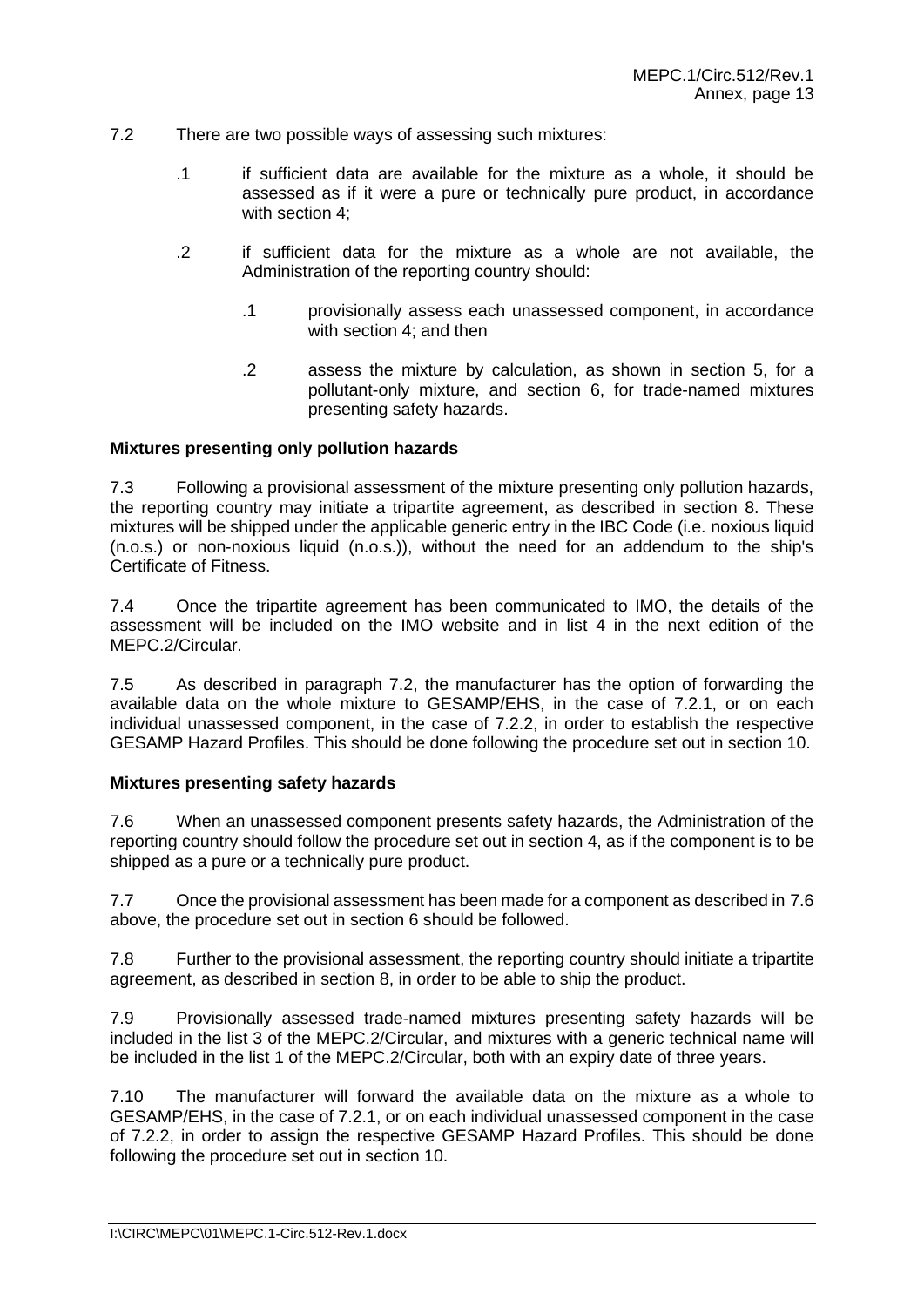- 7.2 There are two possible ways of assessing such mixtures:
	- .1 if sufficient data are available for the mixture as a whole, it should be assessed as if it were a pure or technically pure product, in accordance with section 4;
	- .2 if sufficient data for the mixture as a whole are not available, the Administration of the reporting country should:
		- .1 provisionally assess each unassessed component, in accordance with section 4; and then
		- .2 assess the mixture by calculation, as shown in section 5, for a pollutant-only mixture, and section 6, for trade-named mixtures presenting safety hazards.

#### **Mixtures presenting only pollution hazards**

7.3 Following a provisional assessment of the mixture presenting only pollution hazards, the reporting country may initiate a tripartite agreement, as described in section 8. These mixtures will be shipped under the applicable generic entry in the IBC Code (i.e. noxious liquid (n.o.s.) or non-noxious liquid (n.o.s.)), without the need for an addendum to the ship's Certificate of Fitness.

7.4 Once the tripartite agreement has been communicated to IMO, the details of the assessment will be included on the IMO website and in list 4 in the next edition of the MEPC.2/Circular.

7.5 As described in paragraph 7.2, the manufacturer has the option of forwarding the available data on the whole mixture to GESAMP/EHS, in the case of 7.2.1, or on each individual unassessed component, in the case of 7.2.2, in order to establish the respective GESAMP Hazard Profiles. This should be done following the procedure set out in section 10.

#### **Mixtures presenting safety hazards**

7.6 When an unassessed component presents safety hazards, the Administration of the reporting country should follow the procedure set out in section 4, as if the component is to be shipped as a pure or a technically pure product.

7.7 Once the provisional assessment has been made for a component as described in 7.6 above, the procedure set out in section 6 should be followed.

7.8 Further to the provisional assessment, the reporting country should initiate a tripartite agreement, as described in section 8, in order to be able to ship the product.

7.9 Provisionally assessed trade-named mixtures presenting safety hazards will be included in the list 3 of the MEPC.2/Circular, and mixtures with a generic technical name will be included in the list 1 of the MEPC.2/Circular, both with an expiry date of three years.

7.10 The manufacturer will forward the available data on the mixture as a whole to GESAMP/EHS, in the case of 7.2.1, or on each individual unassessed component in the case of 7.2.2, in order to assign the respective GESAMP Hazard Profiles. This should be done following the procedure set out in section 10.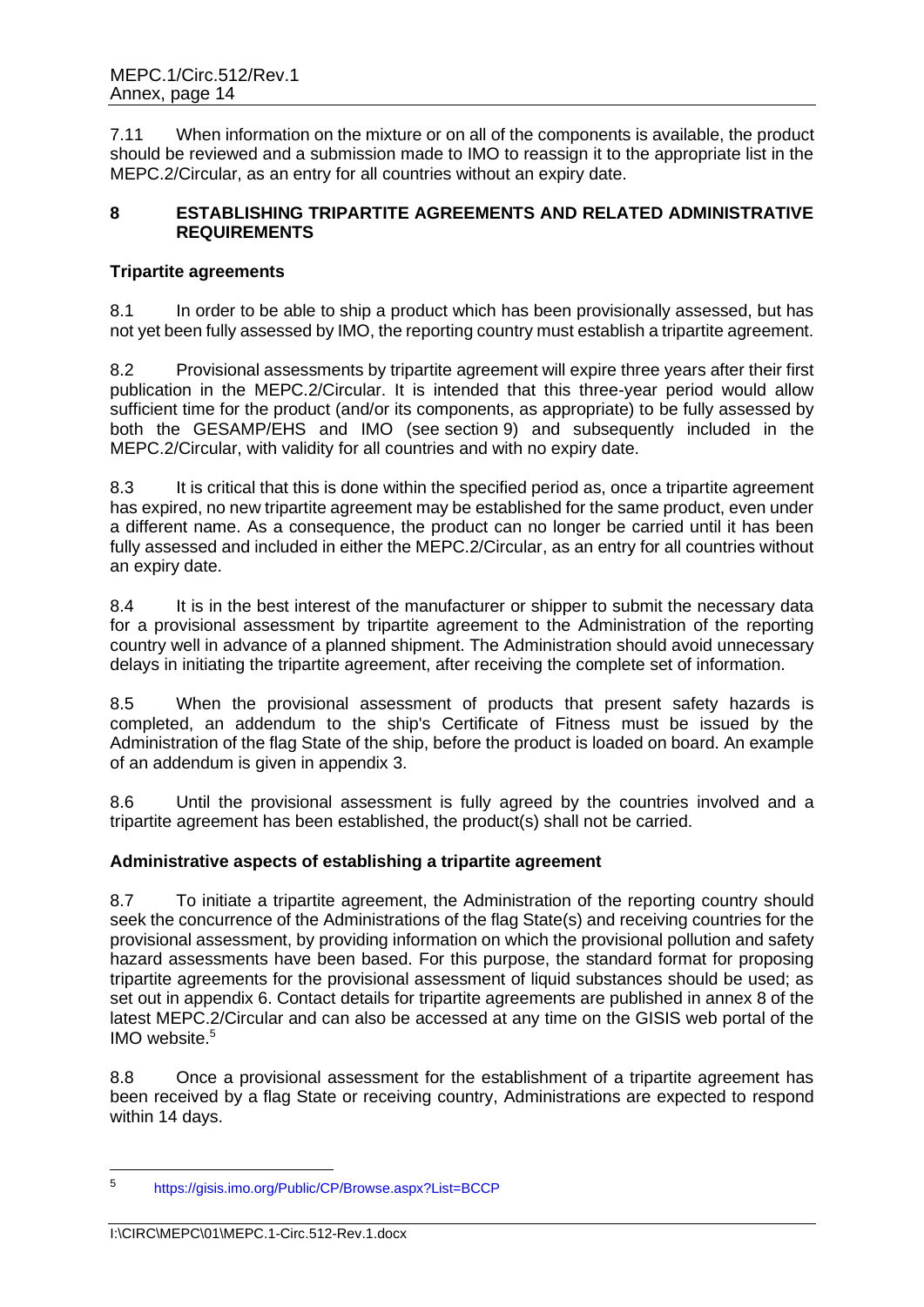7.11 When information on the mixture or on all of the components is available, the product should be reviewed and a submission made to IMO to reassign it to the appropriate list in the MEPC.2/Circular, as an entry for all countries without an expiry date.

#### **8 ESTABLISHING TRIPARTITE AGREEMENTS AND RELATED ADMINISTRATIVE REQUIREMENTS**

# **Tripartite agreements**

8.1 In order to be able to ship a product which has been provisionally assessed, but has not yet been fully assessed by IMO, the reporting country must establish a tripartite agreement.

8.2 Provisional assessments by tripartite agreement will expire three years after their first publication in the MEPC.2/Circular. It is intended that this three-year period would allow sufficient time for the product (and/or its components, as appropriate) to be fully assessed by both the GESAMP/EHS and IMO (see section 9) and subsequently included in the MEPC.2/Circular, with validity for all countries and with no expiry date.

8.3 It is critical that this is done within the specified period as, once a tripartite agreement has expired, no new tripartite agreement may be established for the same product, even under a different name. As a consequence, the product can no longer be carried until it has been fully assessed and included in either the MEPC.2/Circular, as an entry for all countries without an expiry date.

8.4 It is in the best interest of the manufacturer or shipper to submit the necessary data for a provisional assessment by tripartite agreement to the Administration of the reporting country well in advance of a planned shipment. The Administration should avoid unnecessary delays in initiating the tripartite agreement, after receiving the complete set of information.

8.5 When the provisional assessment of products that present safety hazards is completed, an addendum to the ship's Certificate of Fitness must be issued by the Administration of the flag State of the ship, before the product is loaded on board. An example of an addendum is given in appendix 3.

8.6 Until the provisional assessment is fully agreed by the countries involved and a tripartite agreement has been established, the product(s) shall not be carried.

# **Administrative aspects of establishing a tripartite agreement**

8.7 To initiate a tripartite agreement, the Administration of the reporting country should seek the concurrence of the Administrations of the flag State(s) and receiving countries for the provisional assessment, by providing information on which the provisional pollution and safety hazard assessments have been based. For this purpose, the standard format for proposing tripartite agreements for the provisional assessment of liquid substances should be used; as set out in appendix 6. Contact details for tripartite agreements are published in annex 8 of the latest MEPC.2/Circular and can also be accessed at any time on the GISIS web portal of the IMO website.<sup>5</sup>

8.8 Once a provisional assessment for the establishment of a tripartite agreement has been received by a flag State or receiving country, Administrations are expected to respond within 14 days.

<sup>5</sup> https://gisis.imo.org/Public/CP/Browse.aspx?List=BCCP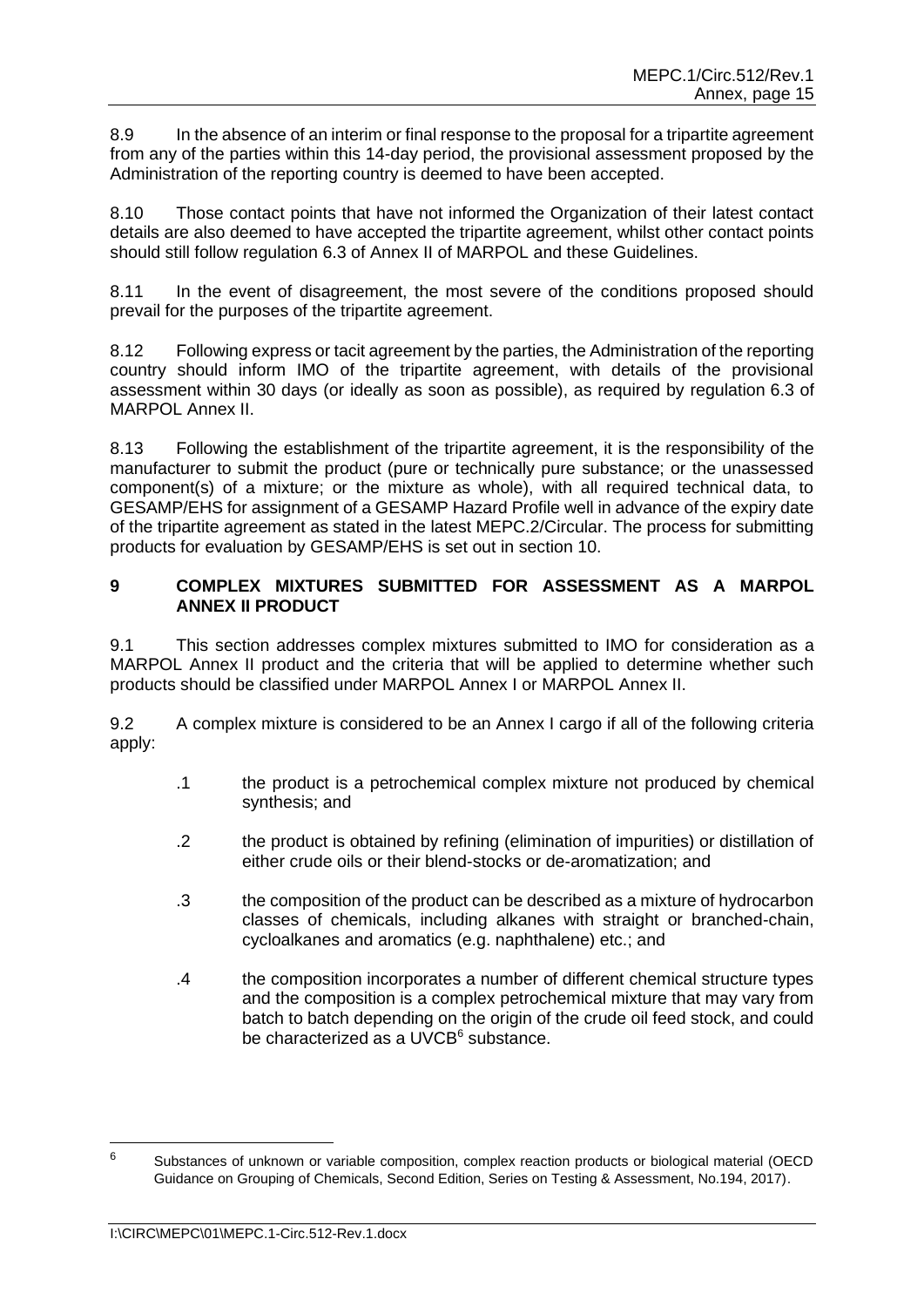8.9 In the absence of an interim or final response to the proposal for a tripartite agreement from any of the parties within this 14-day period, the provisional assessment proposed by the Administration of the reporting country is deemed to have been accepted.

8.10 Those contact points that have not informed the Organization of their latest contact details are also deemed to have accepted the tripartite agreement, whilst other contact points should still follow regulation 6.3 of Annex II of MARPOL and these Guidelines.

8.11 In the event of disagreement, the most severe of the conditions proposed should prevail for the purposes of the tripartite agreement.

8.12 Following express or tacit agreement by the parties, the Administration of the reporting country should inform IMO of the tripartite agreement, with details of the provisional assessment within 30 days (or ideally as soon as possible), as required by regulation 6.3 of MARPOL Annex II.

8.13 Following the establishment of the tripartite agreement, it is the responsibility of the manufacturer to submit the product (pure or technically pure substance; or the unassessed component(s) of a mixture; or the mixture as whole), with all required technical data, to GESAMP/EHS for assignment of a GESAMP Hazard Profile well in advance of the expiry date of the tripartite agreement as stated in the latest MEPC.2/Circular. The process for submitting products for evaluation by GESAMP/EHS is set out in section 10.

# **9 COMPLEX MIXTURES SUBMITTED FOR ASSESSMENT AS A MARPOL ANNEX II PRODUCT**

9.1 This section addresses complex mixtures submitted to IMO for consideration as a MARPOL Annex II product and the criteria that will be applied to determine whether such products should be classified under MARPOL Annex I or MARPOL Annex II.

9.2 A complex mixture is considered to be an Annex I cargo if all of the following criteria apply:

- .1 the product is a petrochemical complex mixture not produced by chemical synthesis; and
- .2 the product is obtained by refining (elimination of impurities) or distillation of either crude oils or their blend-stocks or de-aromatization; and
- .3 the composition of the product can be described as a mixture of hydrocarbon classes of chemicals, including alkanes with straight or branched-chain, cycloalkanes and aromatics (e.g. naphthalene) etc.; and
- .4 the composition incorporates a number of different chemical structure types and the composition is a complex petrochemical mixture that may vary from batch to batch depending on the origin of the crude oil feed stock, and could be characterized as a UVCB<sup>6</sup> substance.

<sup>6</sup> Substances of unknown or variable composition, complex reaction products or biological material (OECD Guidance on Grouping of Chemicals, Second Edition, Series on Testing & Assessment, No.194, 2017).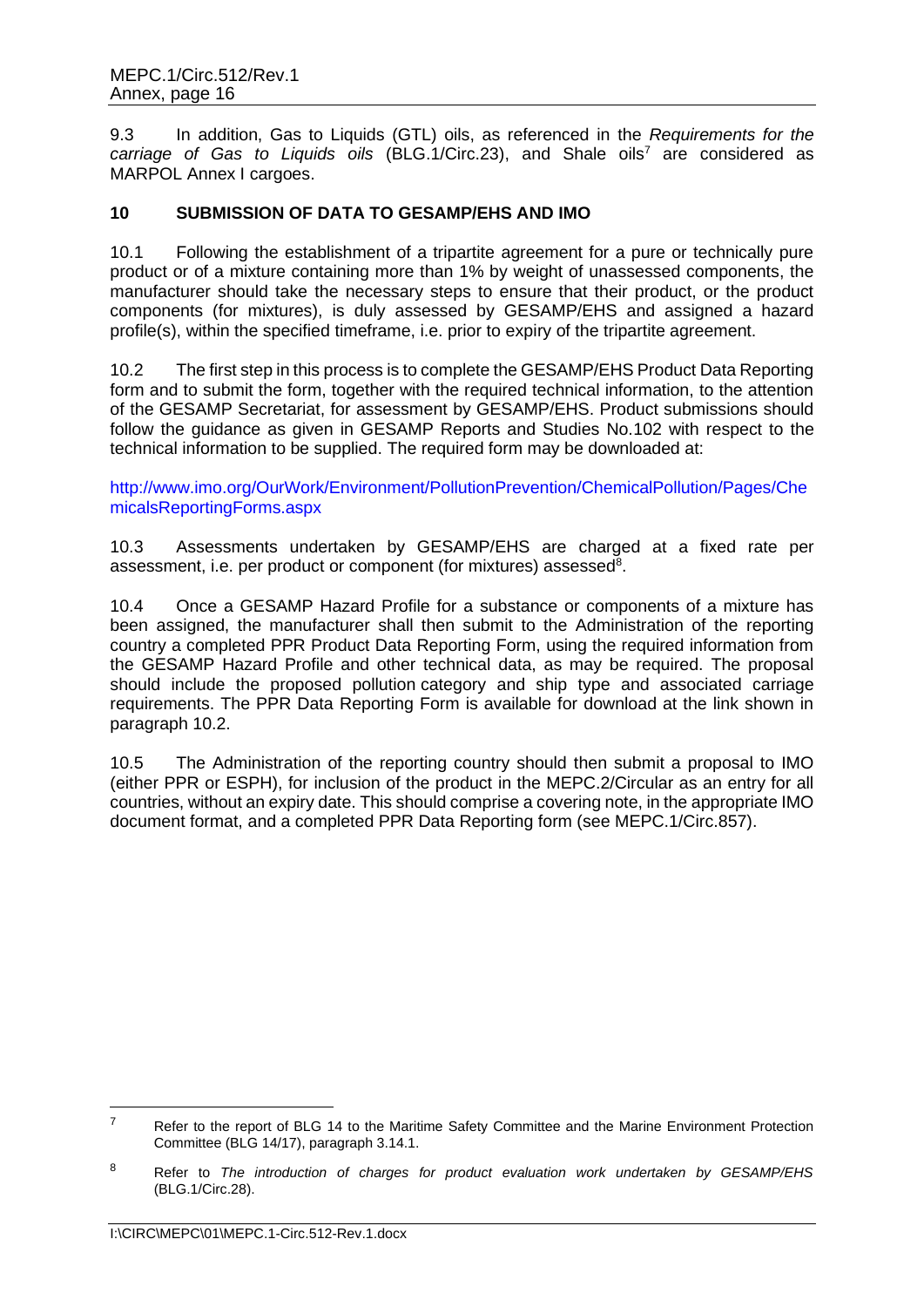9.3 In addition, Gas to Liquids (GTL) oils, as referenced in the *Requirements for the carriage of Gas to Liquids oils* (BLG.1/Circ.23), and Shale oils<sup>7</sup> are considered as MARPOL Annex I cargoes.

# **10 SUBMISSION OF DATA TO GESAMP/EHS AND IMO**

10.1 Following the establishment of a tripartite agreement for a pure or technically pure product or of a mixture containing more than 1% by weight of unassessed components, the manufacturer should take the necessary steps to ensure that their product, or the product components (for mixtures), is duly assessed by GESAMP/EHS and assigned a hazard profile(s), within the specified timeframe, i.e. prior to expiry of the tripartite agreement.

10.2 The first step in this process is to complete the GESAMP/EHS Product Data Reporting form and to submit the form, together with the required technical information, to the attention of the GESAMP Secretariat, for assessment by GESAMP/EHS. Product submissions should follow the guidance as given in GESAMP Reports and Studies No.102 with respect to the technical information to be supplied. The required form may be downloaded at:

[http://www.imo.org/OurWork/Environment/PollutionPrevention/ChemicalPollution/Pages/Che](http://www.imo.org/OurWork/Environment/PollutionPrevention/ChemicalPollution/Pages/ChemicalsReportingForms.aspx) [micalsReportingForms.aspx](http://www.imo.org/OurWork/Environment/PollutionPrevention/ChemicalPollution/Pages/ChemicalsReportingForms.aspx)

10.3 Assessments undertaken by GESAMP/EHS are charged at a fixed rate per assessment, i.e. per product or component (for mixtures) assessed<sup>8</sup>.

10.4 Once a GESAMP Hazard Profile for a substance or components of a mixture has been assigned, the manufacturer shall then submit to the Administration of the reporting country a completed PPR Product Data Reporting Form, using the required information from the GESAMP Hazard Profile and other technical data, as may be required. The proposal should include the proposed pollution category and ship type and associated carriage requirements. The PPR Data Reporting Form is available for download at the link shown in paragraph 10.2.

10.5 The Administration of the reporting country should then submit a proposal to IMO (either PPR or ESPH), for inclusion of the product in the MEPC.2/Circular as an entry for all countries, without an expiry date. This should comprise a covering note, in the appropriate IMO document format, and a completed PPR Data Reporting form (see MEPC.1/Circ.857).

<sup>&</sup>lt;sup>7</sup> Refer to the report of BLG 14 to the Maritime Safety Committee and the Marine Environment Protection Committee (BLG 14/17), paragraph 3.14.1.

<sup>8</sup> Refer to *The introduction of charges for product evaluation work undertaken by GESAMP/EHS* (BLG.1/Circ.28).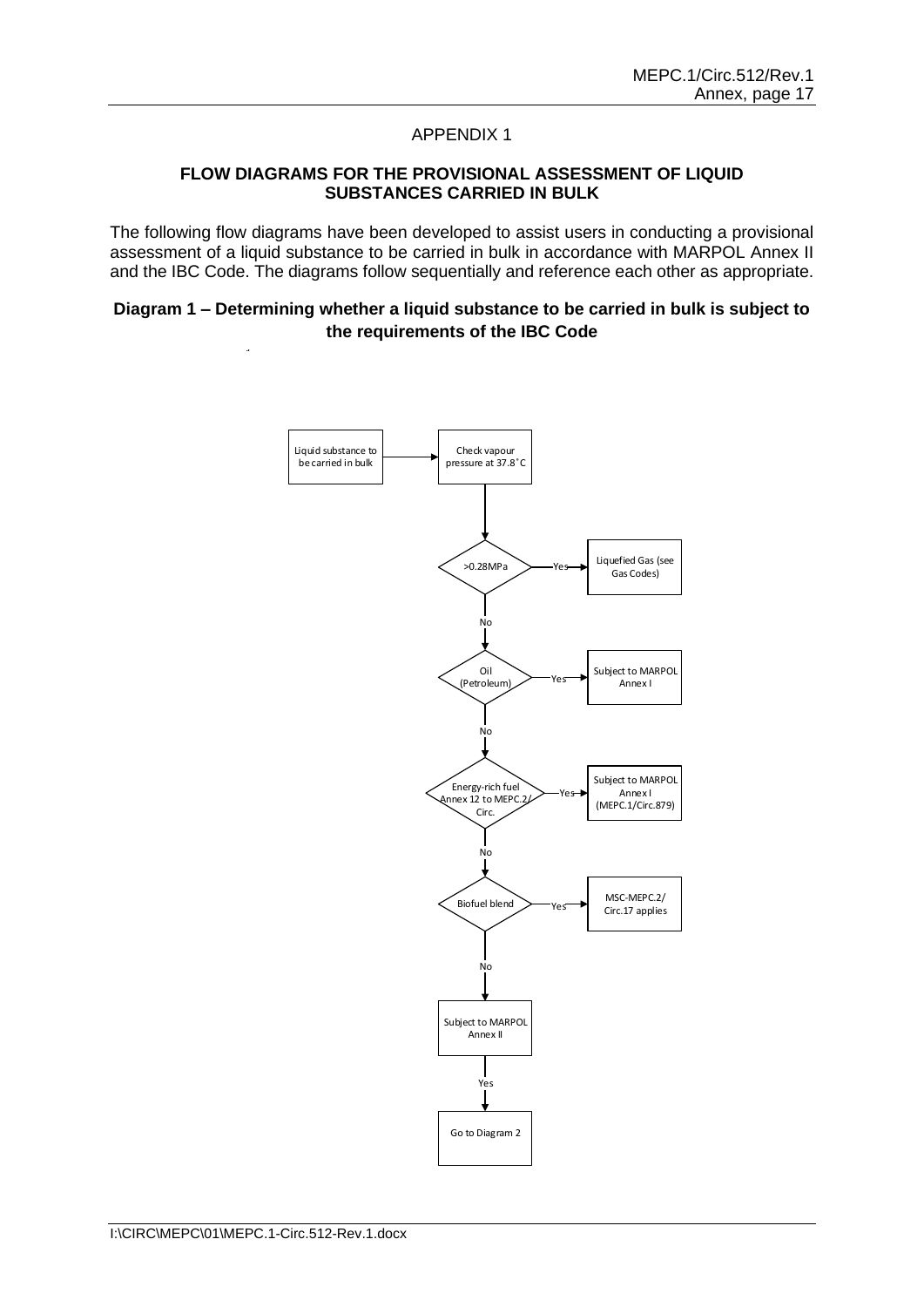#### **FLOW DIAGRAMS FOR THE PROVISIONAL ASSESSMENT OF LIQUID SUBSTANCES CARRIED IN BULK**

The following flow diagrams have been developed to assist users in conducting a provisional assessment of a liquid substance to be carried in bulk in accordance with MARPOL Annex II and the IBC Code. The diagrams follow sequentially and reference each other as appropriate.

#### **Diagram 1 – Determining whether a liquid substance to be carried in bulk is subject to the requirements of the IBC Code**

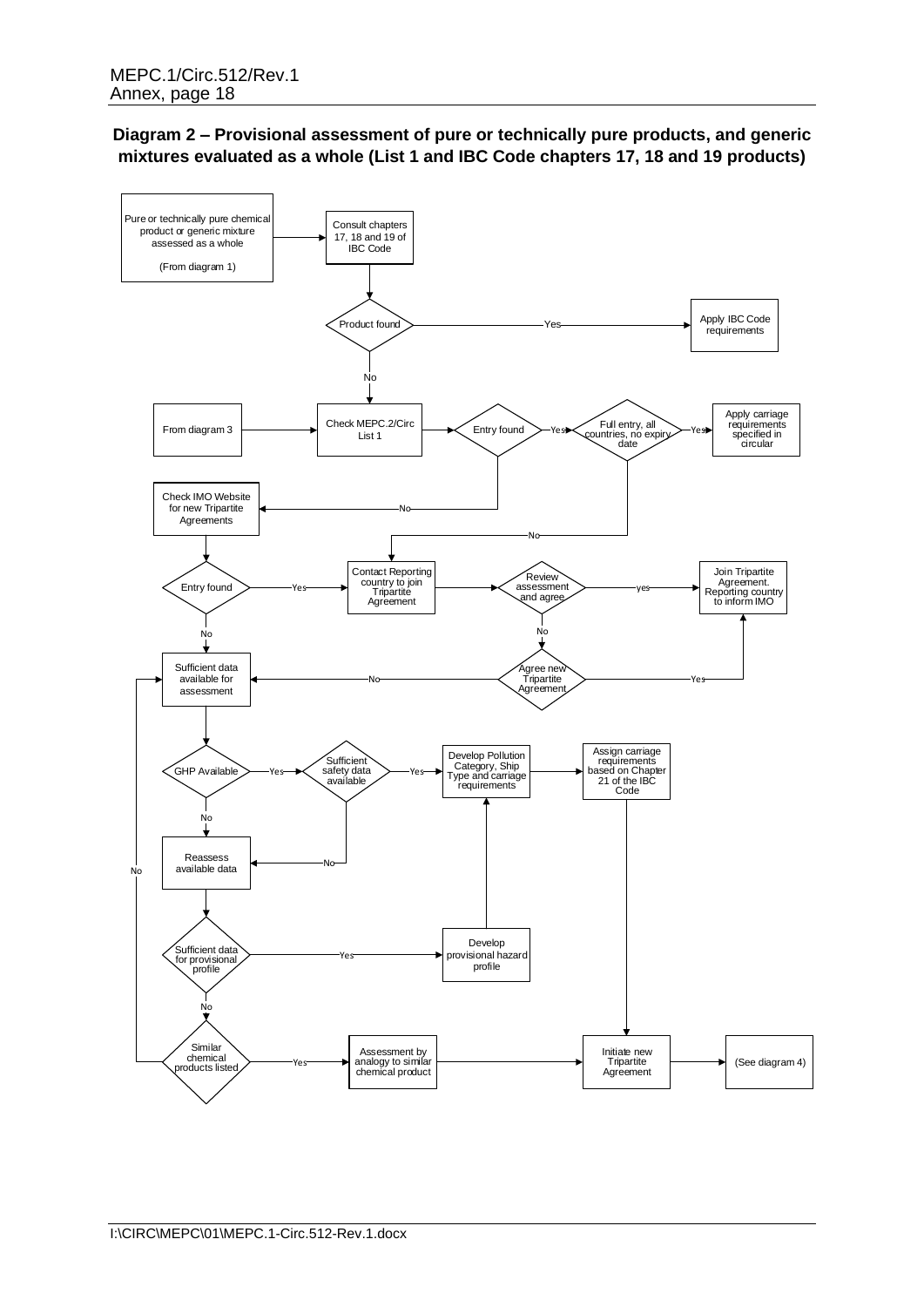# **Diagram 2 – Provisional assessment of pure or technically pure products, and generic mixtures evaluated as a whole (List 1 and IBC Code chapters 17, 18 and 19 products)**

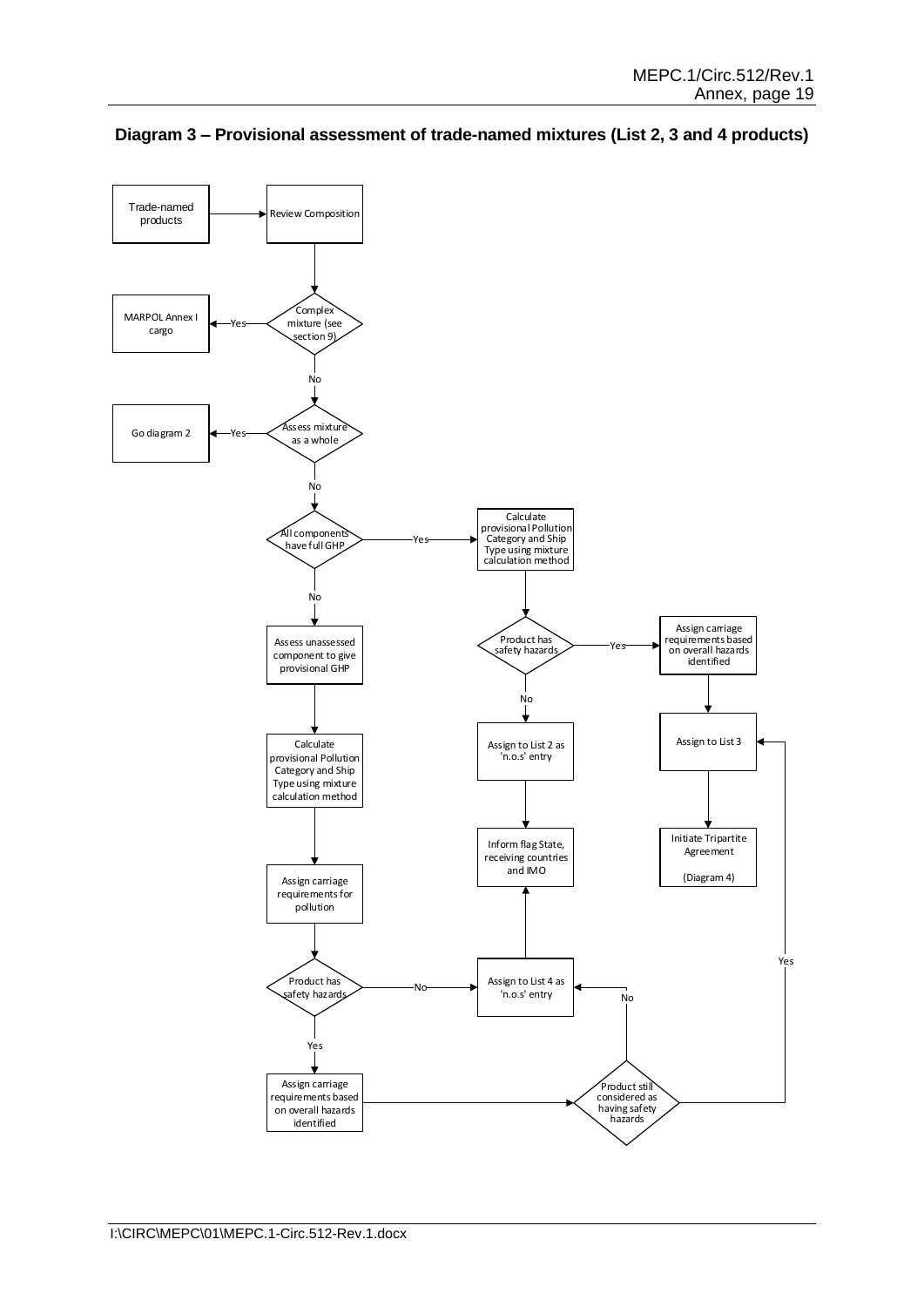

**Diagram 3 – Provisional assessment of trade-named mixtures (List 2, 3 and 4 products)**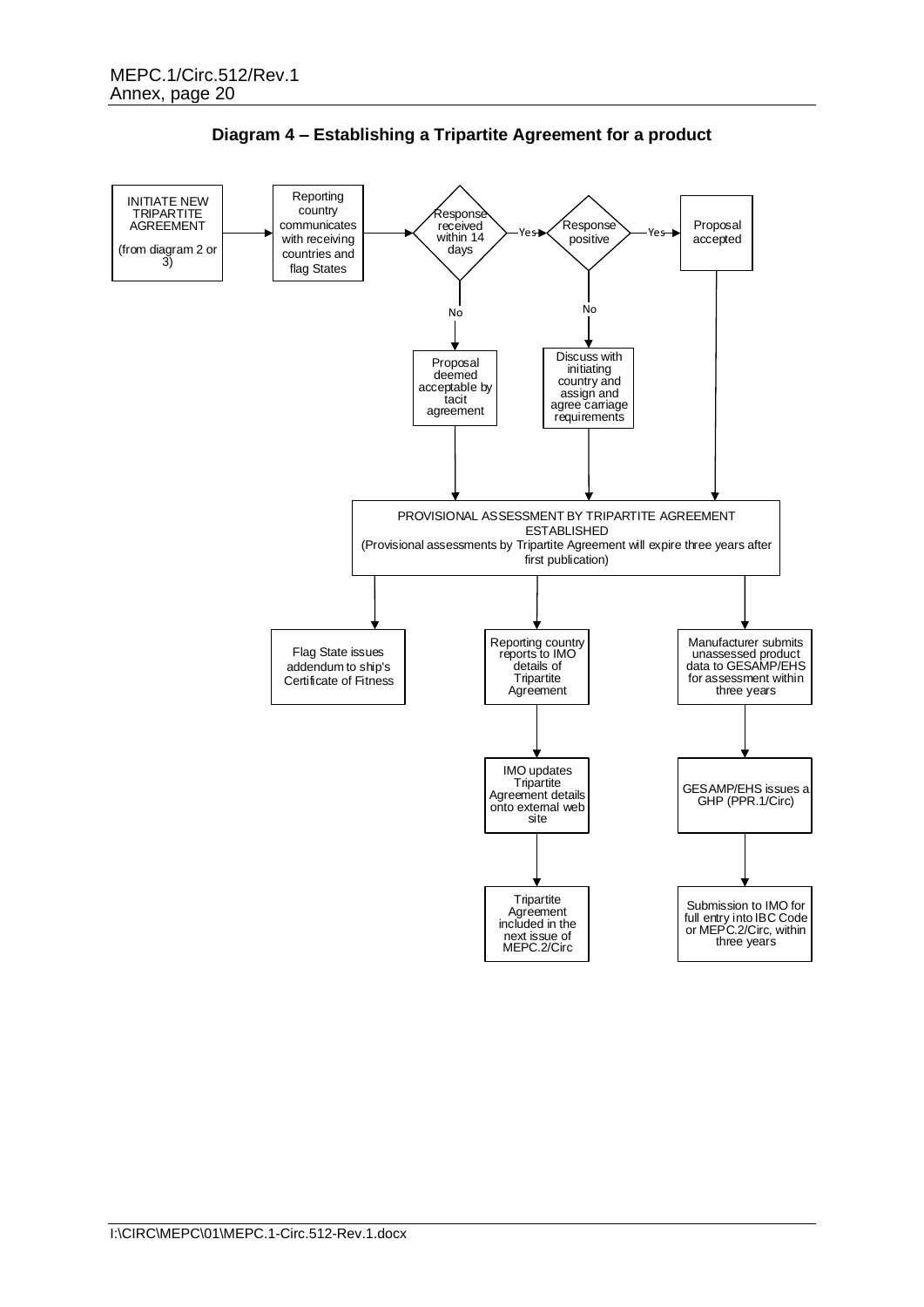

**Diagram 4 – Establishing a Tripartite Agreement for a product**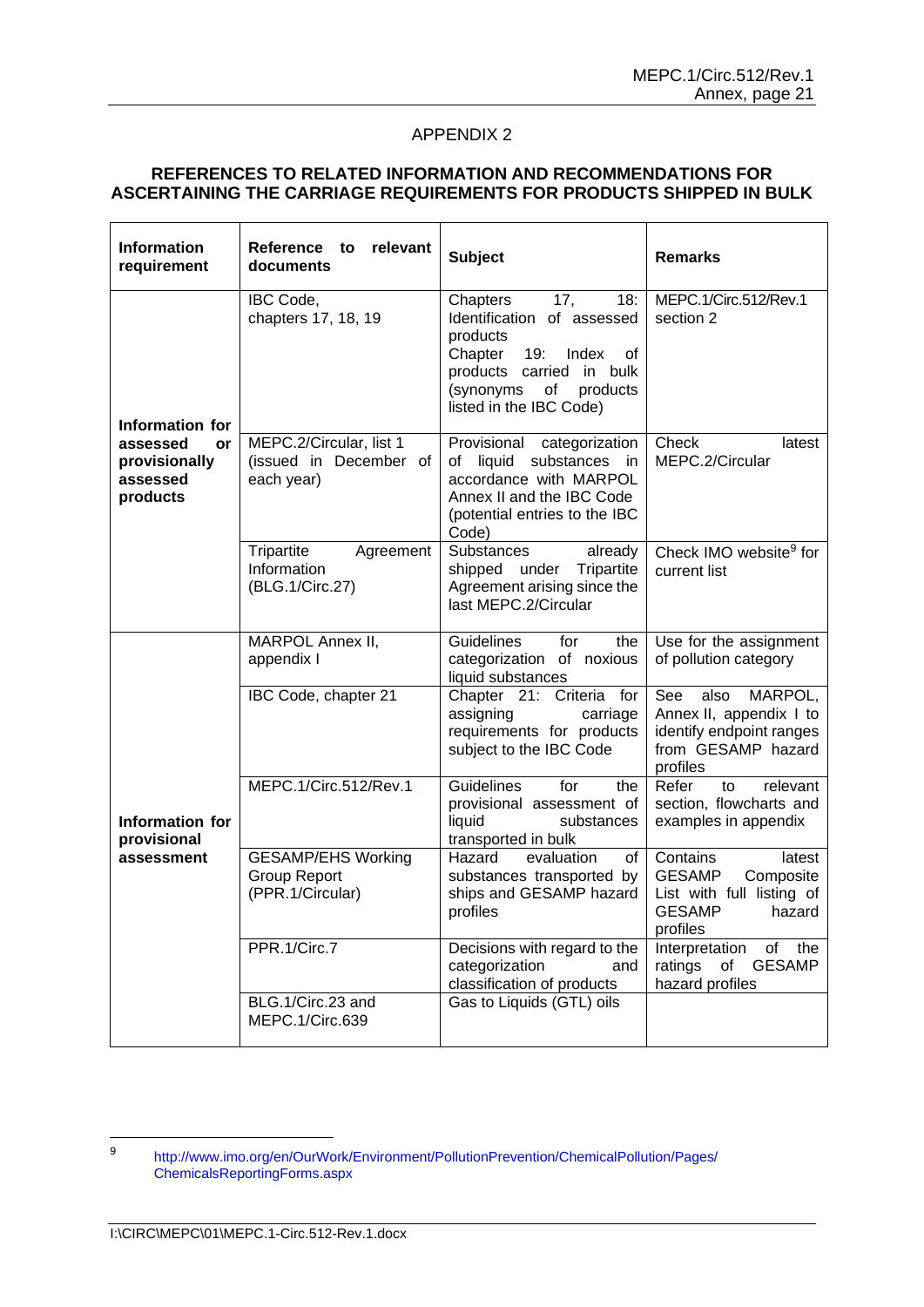# **REFERENCES TO RELATED INFORMATION AND RECOMMENDATIONS FOR ASCERTAINING THE CARRIAGE REQUIREMENTS FOR PRODUCTS SHIPPED IN BULK**

| <b>Information</b><br>requirement                       | <b>Reference</b><br>relevant<br>to<br>documents                      | <b>Subject</b>                                                                                                                                                                          | <b>Remarks</b>                                                                                                       |
|---------------------------------------------------------|----------------------------------------------------------------------|-----------------------------------------------------------------------------------------------------------------------------------------------------------------------------------------|----------------------------------------------------------------------------------------------------------------------|
| Information for                                         | IBC Code,<br>chapters 17, 18, 19                                     | 17,<br>Chapters<br>18:<br>Identification of assessed<br>products<br>Chapter<br>19:<br>Index<br>οf<br>products carried in bulk<br>(synonyms<br>products<br>of<br>listed in the IBC Code) | MEPC.1/Circ.512/Rev.1<br>section 2                                                                                   |
| assessed<br>or<br>provisionally<br>assessed<br>products | MEPC.2/Circular, list 1<br>(issued in December of<br>each year)      | Provisional<br>categorization<br>liquid<br>substances<br>οf<br>- in<br>accordance with MARPOL<br>Annex II and the IBC Code<br>(potential entries to the IBC<br>Code)                    | Check<br>latest<br>MEPC.2/Circular                                                                                   |
|                                                         | Tripartite<br>Agreement<br>Information<br>(BLG.1/Circ.27)            | Substances<br>already<br>Tripartite<br>shipped under<br>Agreement arising since the<br>last MEPC.2/Circular                                                                             | Check IMO website <sup>9</sup> for<br>current list                                                                   |
|                                                         | MARPOL Annex II,<br>appendix I                                       | Guidelines<br>for<br>the<br>categorization of noxious<br>liquid substances                                                                                                              | Use for the assignment<br>of pollution category                                                                      |
| Information for<br>provisional<br>assessment            | IBC Code, chapter 21                                                 | Chapter 21: Criteria for<br>assigning<br>carriage<br>requirements for products<br>subject to the IBC Code                                                                               | See<br>also<br>MARPOL,<br>Annex II, appendix I to<br>identify endpoint ranges<br>from GESAMP hazard<br>profiles      |
|                                                         | MEPC.1/Circ.512/Rev.1                                                | Guidelines<br>for<br>the<br>provisional assessment of<br>liquid<br>substances<br>transported in bulk                                                                                    | Refer<br>relevant<br>to<br>section, flowcharts and<br>examples in appendix                                           |
|                                                         | <b>GESAMP/EHS Working</b><br><b>Group Report</b><br>(PPR.1/Circular) | Hazard<br>evaluation<br>of<br>substances transported by<br>ships and GESAMP hazard<br>profiles                                                                                          | Contains<br>latest<br><b>GESAMP</b><br>Composite<br>List with full listing of<br><b>GESAMP</b><br>hazard<br>profiles |
|                                                         | PPR.1/Circ.7                                                         | Decisions with regard to the<br>categorization<br>and<br>classification of products                                                                                                     | Interpretation<br>of<br>the<br><b>GESAMP</b><br>ratings<br>of<br>hazard profiles                                     |
|                                                         | BLG.1/Circ.23 and<br>MEPC.1/Circ.639                                 | Gas to Liquids (GTL) oils                                                                                                                                                               |                                                                                                                      |

<sup>9</sup> [http://www.imo.org/en/OurWork/Environment/PollutionPrevention/ChemicalPollution/Pages/](http://www.imo.org/en/OurWork/Environment/PollutionPrevention/ChemicalPollution/Pages/ChemicalsReportingForms.aspx) [ChemicalsReportingForms.aspx](http://www.imo.org/en/OurWork/Environment/PollutionPrevention/ChemicalPollution/Pages/ChemicalsReportingForms.aspx)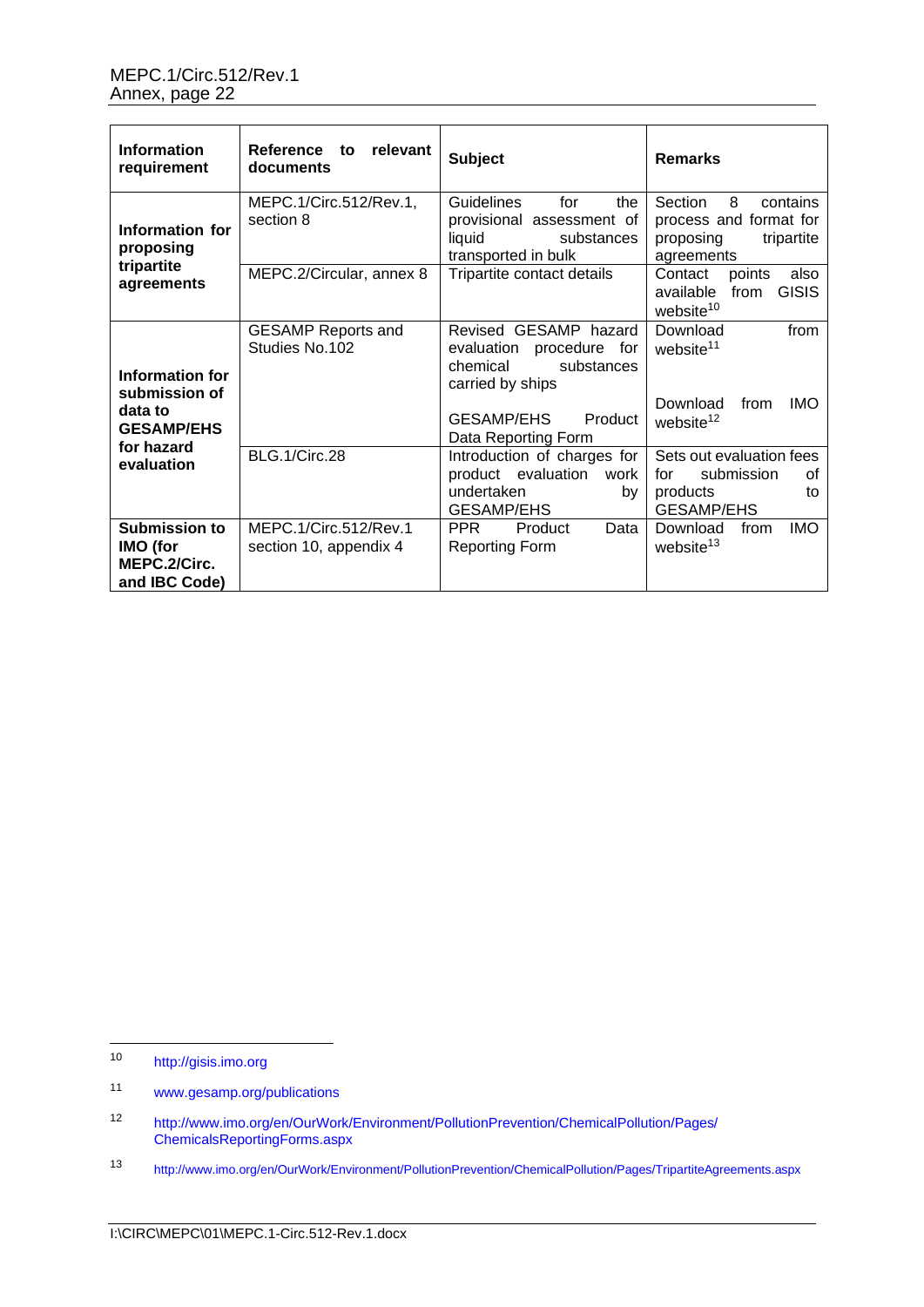| <b>Information</b><br>requirement                                 | Reference<br>relevant<br>to<br>documents        | <b>Subject</b>                                                                                                            | <b>Remarks</b>                                                                                       |
|-------------------------------------------------------------------|-------------------------------------------------|---------------------------------------------------------------------------------------------------------------------------|------------------------------------------------------------------------------------------------------|
| Information for<br>proposing<br>tripartite                        | MEPC.1/Circ.512/Rev.1,<br>section 8             | <b>Guidelines</b><br>for<br>the<br>provisional assessment of<br>liquid<br>substances<br>transported in bulk               | 8<br>Section<br>contains<br>process and format for<br>proposing<br>tripartite<br>agreements          |
| agreements                                                        | MEPC.2/Circular, annex 8                        | Tripartite contact details                                                                                                | Contact<br>points<br>also<br><b>GISIS</b><br>available from<br>website <sup>10</sup>                 |
| Information for<br>submission of<br>data to                       | <b>GESAMP Reports and</b><br>Studies No.102     | Revised GESAMP hazard<br>evaluation procedure for<br>chemical<br>substances<br>carried by ships<br>GESAMP/EHS<br>Product  | Download<br>from<br>website <sup>11</sup><br>Download<br>from<br><b>IMO</b><br>website <sup>12</sup> |
| <b>GESAMP/EHS</b><br>for hazard<br>evaluation                     | BLG.1/Circ.28                                   | Data Reporting Form<br>Introduction of charges for<br>product evaluation<br>work<br>undertaken<br>bv<br><b>GESAMP/EHS</b> | Sets out evaluation fees<br>submission<br>for<br>οf<br>products<br>to<br><b>GESAMP/EHS</b>           |
| <b>Submission to</b><br>IMO (for<br>MEPC.2/Circ.<br>and IBC Code) | MEPC.1/Circ.512/Rev.1<br>section 10, appendix 4 | <b>PPR</b><br>Product<br>Data<br><b>Reporting Form</b>                                                                    | Download<br>from<br><b>IMO</b><br>website <sup>13</sup>                                              |

<sup>10</sup> [http://gisis.imo.org](http://gisis.imo.org/)

<sup>11</sup> [www.gesamp.org/publications](http://www.gesamp.org/publications)

<sup>12</sup> http://www.imo.org/en/OurWork/Environment/PollutionPrevention/ChemicalPollution/Pages/ ChemicalsReportingForms.aspx

<sup>13</sup> <http://www.imo.org/en/OurWork/Environment/PollutionPrevention/ChemicalPollution/Pages/TripartiteAgreements.aspx>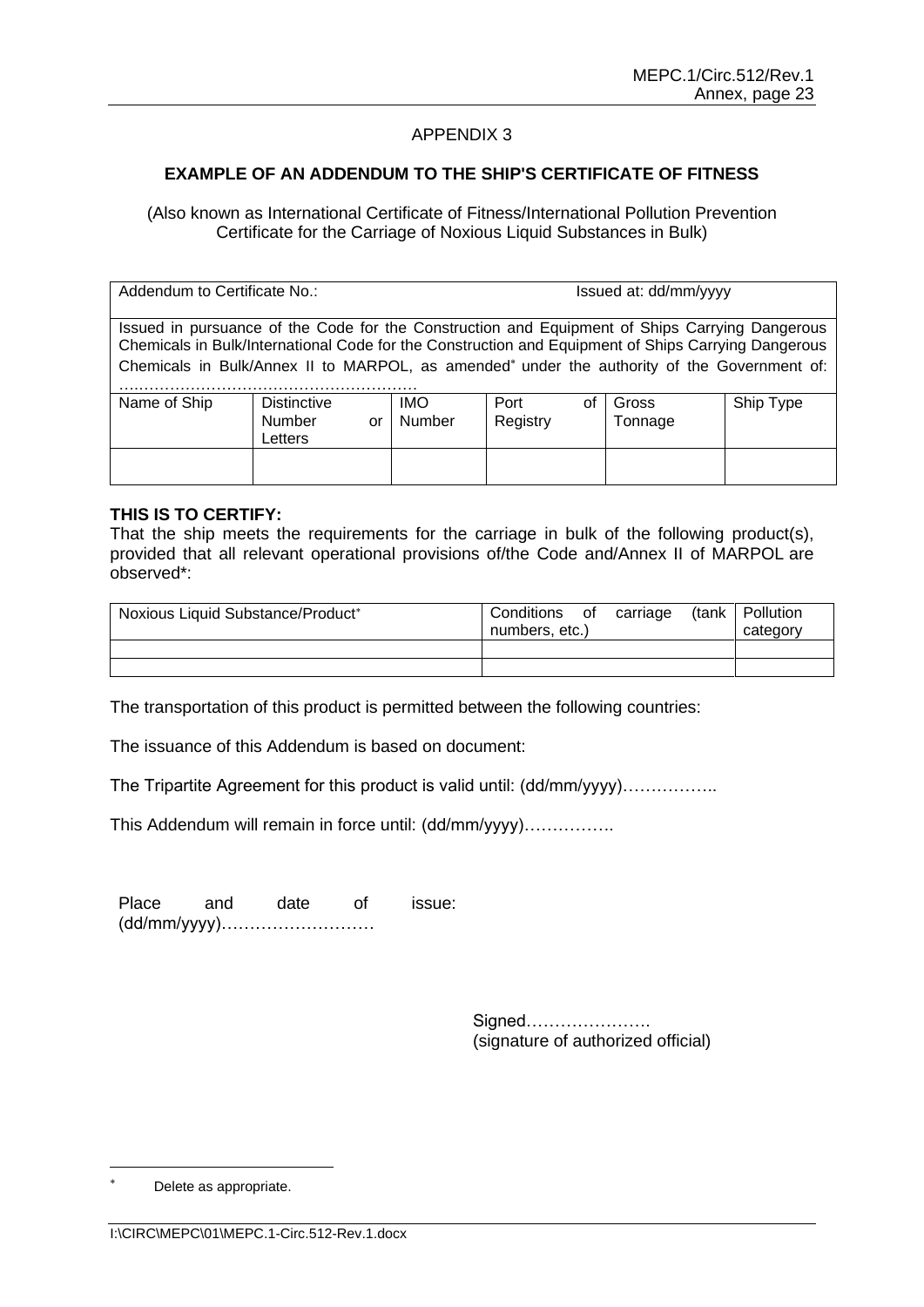# **EXAMPLE OF AN ADDENDUM TO THE SHIP'S CERTIFICATE OF FITNESS**

(Also known as International Certificate of Fitness/International Pollution Prevention Certificate for the Carriage of Noxious Liquid Substances in Bulk)

Addendum to Certificate No.: intervention of the state of the Issued at: dd/mm/yyyy Issued in pursuance of the Code for the Construction and Equipment of Ships Carrying Dangerous Chemicals in Bulk/International Code for the Construction and Equipment of Ships Carrying Dangerous Chemicals in Bulk/Annex II to MARPOL, as amended<sup>\*</sup> under the authority of the Government of: ….……………………………………………… Name of Ship Distinctive Number or Letters IMO Number Port of **Registry** Gross Tonnage Ship Type

#### **THIS IS TO CERTIFY:**

That the ship meets the requirements for the carriage in bulk of the following product(s), provided that all relevant operational provisions of/the Code and/Annex II of MARPOL are observed\*:

| Noxious Liquid Substance/Product* | carriage<br>Conditions<br>of<br>numbers, etc.) | (tank   Pollution<br>category |
|-----------------------------------|------------------------------------------------|-------------------------------|
|                                   |                                                |                               |
|                                   |                                                |                               |

The transportation of this product is permitted between the following countries:

The issuance of this Addendum is based on document:

The Tripartite Agreement for this product is valid until: (dd/mm/yyyy)……………..

This Addendum will remain in force until: (dd/mm/yyyy)…………….

Place and date of issue: (dd/mm/yyyy)………………………

> Signed…………………. (signature of authorized official)

Delete as appropriate.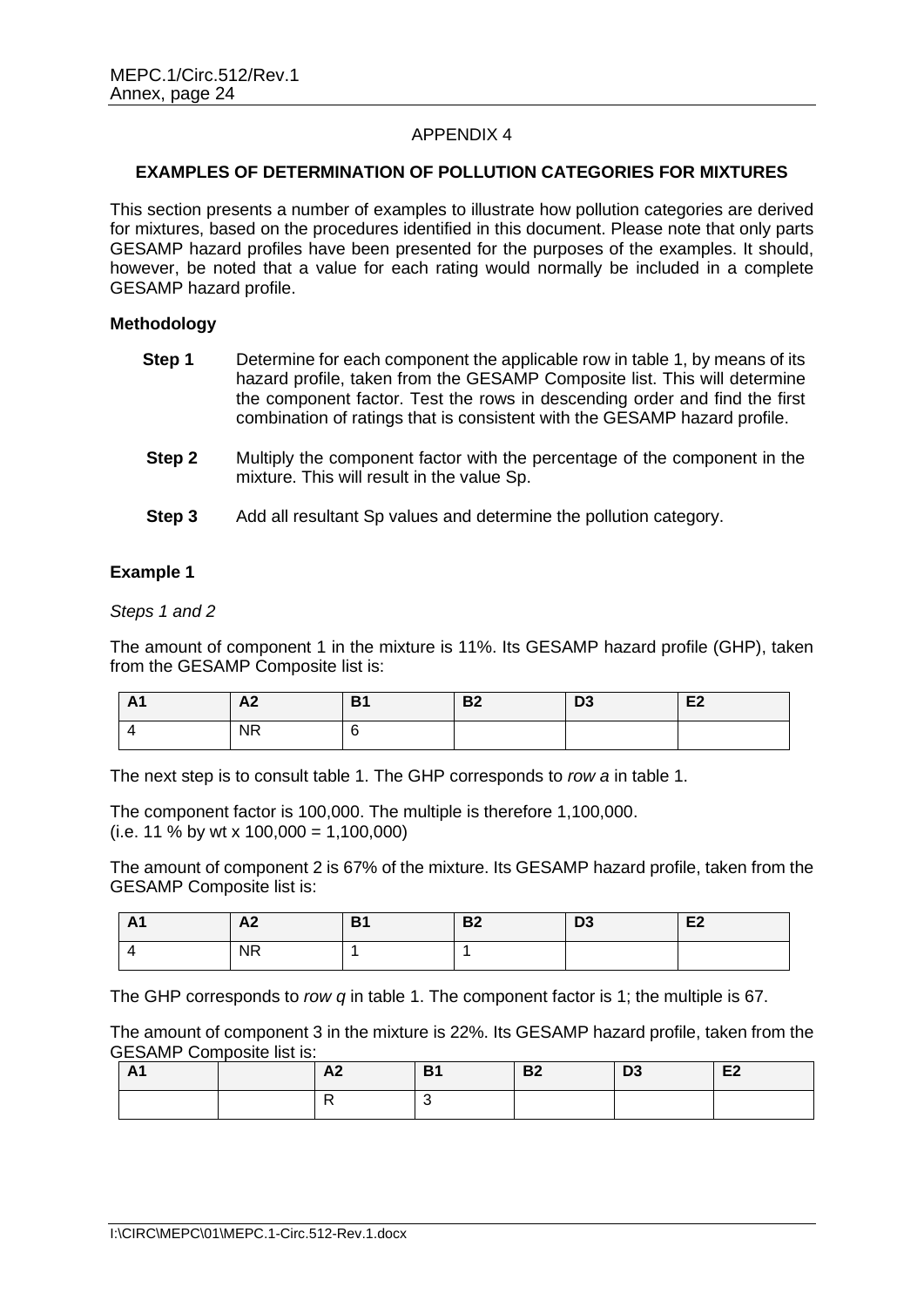# **EXAMPLES OF DETERMINATION OF POLLUTION CATEGORIES FOR MIXTURES**

This section presents a number of examples to illustrate how pollution categories are derived for mixtures, based on the procedures identified in this document. Please note that only parts GESAMP hazard profiles have been presented for the purposes of the examples. It should, however, be noted that a value for each rating would normally be included in a complete GESAMP hazard profile.

#### **Methodology**

| Step 1 | Determine for each component the applicable row in table 1, by means of its |
|--------|-----------------------------------------------------------------------------|
|        | hazard profile, taken from the GESAMP Composite list. This will determine   |
|        | the component factor. Test the rows in descending order and find the first  |
|        | combination of ratings that is consistent with the GESAMP hazard profile.   |

- **Step 2** Multiply the component factor with the percentage of the component in the mixture. This will result in the value Sp.
- **Step 3** Add all resultant Sp values and determine the pollution category.

#### **Example 1**

*Steps 1 and 2*

The amount of component 1 in the mixture is 11%. Its GESAMP hazard profile (GHP), taken from the GESAMP Composite list is:

| - A1 | ra,                 | D <sup>e</sup><br>DZ | r.<br>υა | $\mathbf{r}$<br>CZ. |
|------|---------------------|----------------------|----------|---------------------|
|      | ᄓ<br>N <sub>K</sub> |                      |          |                     |

The next step is to consult table 1. The GHP corresponds to *row a* in table 1.

The component factor is 100,000. The multiple is therefore 1,100,000.  $(i.e. 11 % by wt × 100,000 = 1,100,000)$ 

The amount of component 2 is 67% of the mixture. Its GESAMP hazard profile, taken from the GESAMP Composite list is:

| $\mathbf{A}$<br>$\sim$ 1 | A2        | D4<br>ъ. | D0<br>DZ. | D <sub>3</sub> | ro-<br>cz |
|--------------------------|-----------|----------|-----------|----------------|-----------|
|                          | <b>NR</b> |          |           |                |           |

The GHP corresponds to *row q* in table 1. The component factor is 1; the multiple is 67.

The amount of component 3 in the mixture is 22%. Its GESAMP hazard profile, taken from the GESAMP Composite list is:

| . .<br>A1 | $\mathbf{A}$<br>nд, | D <sub>4</sub><br>D.<br>- - | <b>B2</b> | n <sub>0</sub><br>υJ | E <sub>2</sub> |
|-----------|---------------------|-----------------------------|-----------|----------------------|----------------|
|           |                     |                             |           |                      |                |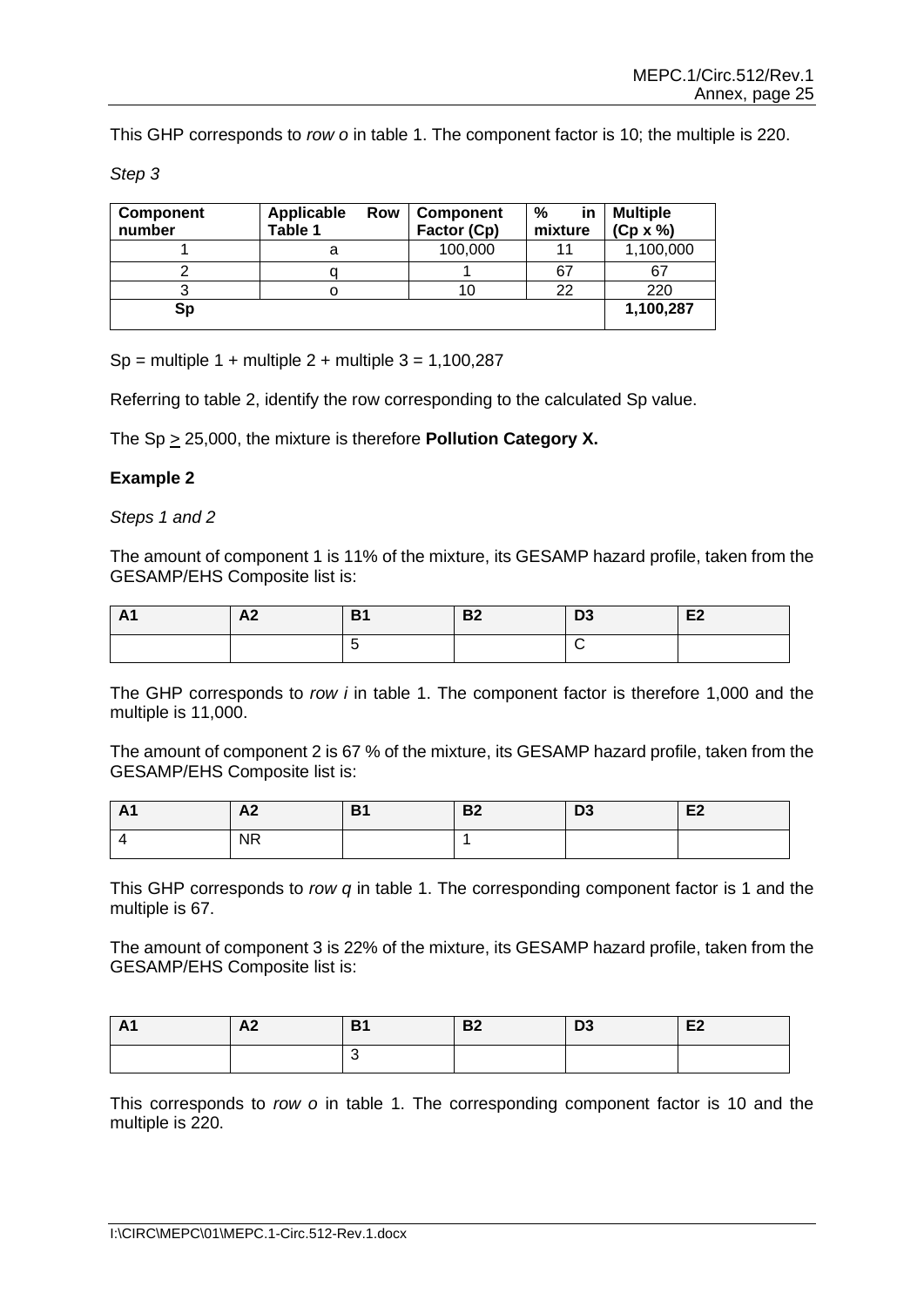This GHP corresponds to *row o* in table 1. The component factor is 10; the multiple is 220.

*Step 3*

| <b>Component</b><br>number | Applicable<br>Row<br>Table 1 | <b>Component</b><br>Factor (Cp) | %<br>in<br>mixture | <b>Multiple</b><br>$(Cp \times \% )$ |
|----------------------------|------------------------------|---------------------------------|--------------------|--------------------------------------|
|                            |                              | 100,000                         | 11                 | 1,100,000                            |
|                            |                              |                                 | 67                 | 67                                   |
|                            |                              |                                 | 22                 | 220                                  |
| Sp                         |                              |                                 |                    | 1,100,287                            |

 $Sp =$  multiple 1 + multiple 2 + multiple 3 = 1,100,287

Referring to table 2, identify the row corresponding to the calculated Sp value.

The Sp > 25,000, the mixture is therefore **Pollution Category X.**

#### **Example 2**

*Steps 1 and 2*

The amount of component 1 is 11% of the mixture, its GESAMP hazard profile, taken from the GESAMP/EHS Composite list is:

| $\sim$<br>$\mathbf{a}$<br>$\mathbf{\mathsf{r}}$ | $\sim$<br>84 | D <sub>4</sub><br>61 | D0<br>DZ. | $\mathbf{a}$<br>ັບປ | E <sub>2</sub> |
|-------------------------------------------------|--------------|----------------------|-----------|---------------------|----------------|
|                                                 |              |                      |           |                     |                |

The GHP corresponds to *row i* in table 1. The component factor is therefore 1,000 and the multiple is 11,000.

The amount of component 2 is 67 % of the mixture, its GESAMP hazard profile, taken from the GESAMP/EHS Composite list is:

| AI | $\mathbf{A}$ | D <sub>4</sub> | D0 | n <sub>o</sub> | $\mathbf{r}$ |
|----|--------------|----------------|----|----------------|--------------|
|    | AZ.          | D I            | DZ | υs.            | CZ.          |
|    | <b>NR</b>    |                |    |                |              |

This GHP corresponds to *row q* in table 1. The corresponding component factor is 1 and the multiple is 67.

The amount of component 3 is 22% of the mixture, its GESAMP hazard profile, taken from the GESAMP/EHS Composite list is:

| <b>A1</b> | A <sub>2</sub> | D <sub>4</sub><br>D I | <b>B2</b> | D <sub>3</sub> | E <sub>2</sub> |
|-----------|----------------|-----------------------|-----------|----------------|----------------|
|           |                |                       |           |                |                |

This corresponds to *row o* in table 1. The corresponding component factor is 10 and the multiple is 220.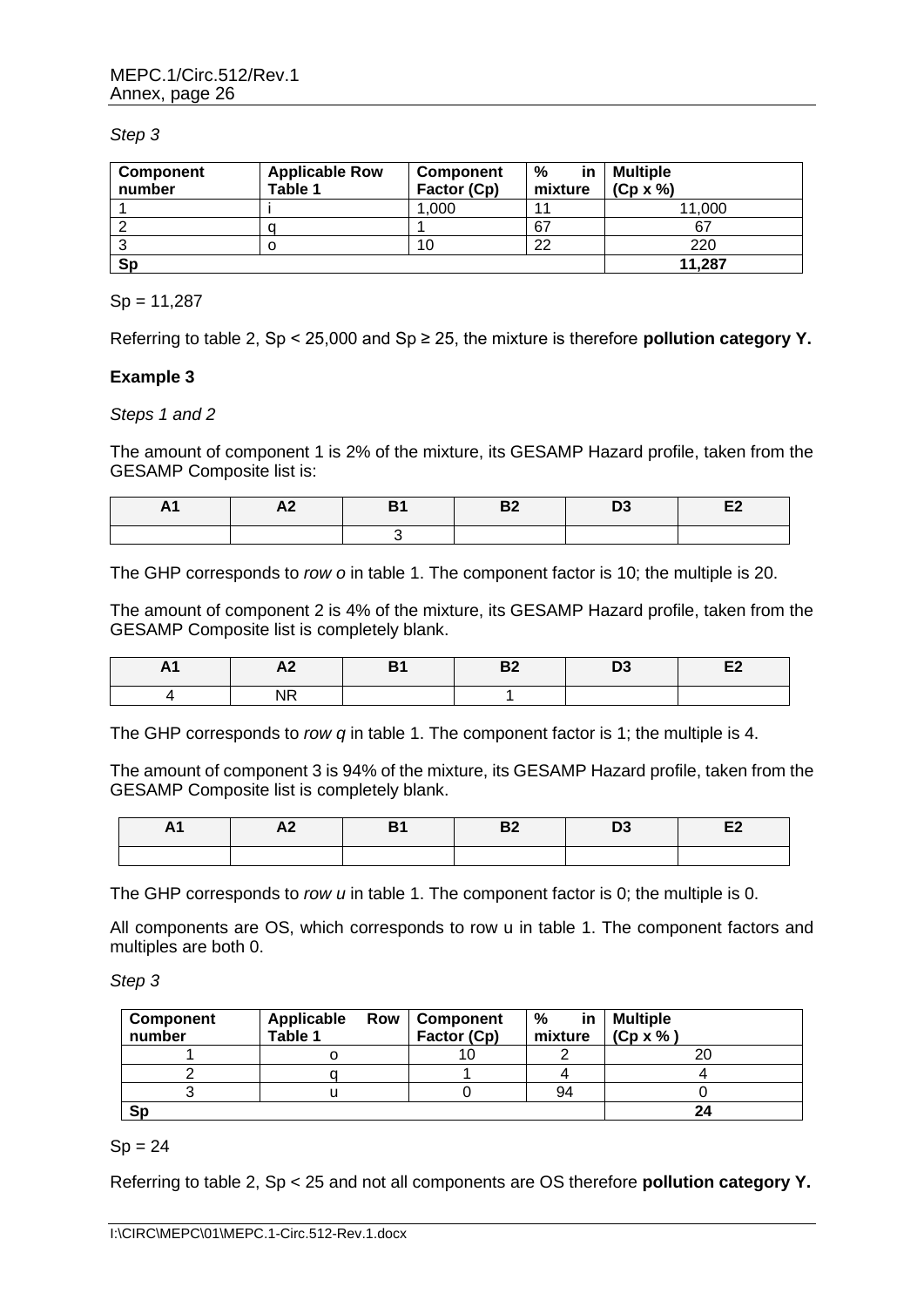#### *Step 3*

| <b>Component</b><br>number | <b>Applicable Row</b><br>Table 1 | <b>Component</b><br>Factor (Cp) | %<br>in.<br>mixture | <b>Multiple</b><br>$(Cp \times \% )$ |
|----------------------------|----------------------------------|---------------------------------|---------------------|--------------------------------------|
|                            |                                  | .000                            | 11                  | 11.000                               |
|                            |                                  |                                 | 67                  | 67                                   |
|                            |                                  | 10                              | 22                  | 220                                  |
| Sp                         |                                  |                                 |                     | 11.287                               |

#### $Sp = 11,287$

Referring to table 2, Sp < 25,000 and Sp ≥ 25, the mixture is therefore **pollution category Y.**

#### **Example 3**

#### *Steps 1 and 2*

The amount of component 1 is 2% of the mixture, its GESAMP Hazard profile, taken from the GESAMP Composite list is:

| H <sub>1</sub> | <u>"Де</u> | <b>B2</b> | טש |  |
|----------------|------------|-----------|----|--|
|                |            |           |    |  |

The GHP corresponds to *row o* in table 1. The component factor is 10; the multiple is 20.

The amount of component 2 is 4% of the mixture, its GESAMP Hazard profile, taken from the GESAMP Composite list is completely blank.

| . | <u>гче</u> | -- | $-$ |  |
|---|------------|----|-----|--|
|   | . .<br>.   |    |     |  |

The GHP corresponds to *row q* in table 1. The component factor is 1; the multiple is 4.

The amount of component 3 is 94% of the mixture, its GESAMP Hazard profile, taken from the GESAMP Composite list is completely blank.

| AI | AZ. | D0<br>в. | טע |  |
|----|-----|----------|----|--|
|    |     |          |    |  |

The GHP corresponds to *row u* in table 1. The component factor is 0; the multiple is 0.

All components are OS, which corresponds to row u in table 1. The component factors and multiples are both 0.

*Step 3*

| Component<br>number | Applicable<br>Table 1 | <b>Row   Component</b><br>Factor (Cp) | %<br>mixture | $in$   Multiple<br>$(Cp \times \%)$ |
|---------------------|-----------------------|---------------------------------------|--------------|-------------------------------------|
|                     |                       |                                       |              | 20                                  |
|                     |                       |                                       |              |                                     |
|                     |                       |                                       | 94           |                                     |
| Sp                  |                       |                                       |              |                                     |

#### $Sp = 24$

Referring to table 2, Sp < 25 and not all components are OS therefore **pollution category Y.**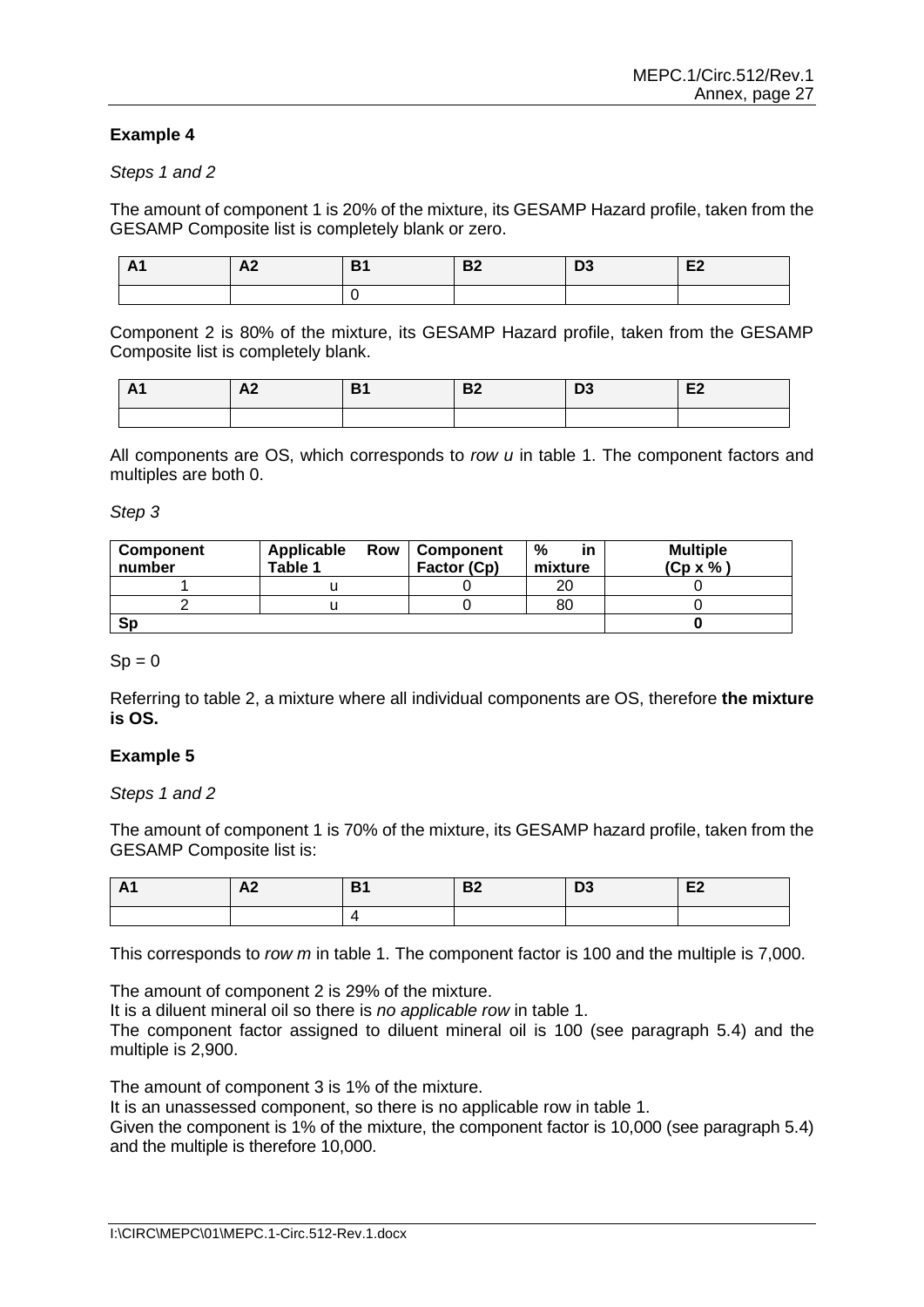# **Example 4**

#### *Steps 1 and 2*

The amount of component 1 is 20% of the mixture, its GESAMP Hazard profile, taken from the GESAMP Composite list is completely blank or zero.

| AI | A2 | <b>B2</b> | נט | E <sub>2</sub> |
|----|----|-----------|----|----------------|
|    |    |           |    |                |

Component 2 is 80% of the mixture, its GESAMP Hazard profile, taken from the GESAMP Composite list is completely blank.

| AA | A.<br>ГW | D <sub>4</sub><br>וט | D <sub>0</sub><br>D4 | D <sub>2</sub><br>ני | E <sub>2</sub> |
|----|----------|----------------------|----------------------|----------------------|----------------|
|    |          |                      |                      |                      |                |

All components are OS, which corresponds to *row u* in table 1. The component factors and multiples are both 0.

*Step 3*

| <b>Component</b><br>number | Applicable<br>Row<br>Table 1 | Component<br>Factor (Cp) | %<br>in<br>mixture | <b>Multiple</b><br>$(Cp \times \% )$ |
|----------------------------|------------------------------|--------------------------|--------------------|--------------------------------------|
|                            |                              |                          | 20                 |                                      |
|                            |                              |                          | 80                 |                                      |
| <b>Sp</b>                  |                              |                          |                    |                                      |

#### $Sp = 0$

Referring to table 2, a mixture where all individual components are OS, therefore **the mixture is OS.**

#### **Example 5**

*Steps 1 and 2*

The amount of component 1 is 70% of the mixture, its GESAMP hazard profile, taken from the GESAMP Composite list is:

| - A1 | $\mathbf{A}$<br>A<br>AZ. | D. | <b>B2</b> | D <sub>0</sub><br>נט | E2 |
|------|--------------------------|----|-----------|----------------------|----|
|      |                          |    |           |                      |    |

This corresponds to *row m* in table 1. The component factor is 100 and the multiple is 7,000.

The amount of component 2 is 29% of the mixture.

It is a diluent mineral oil so there is *no applicable row* in table 1.

The component factor assigned to diluent mineral oil is 100 (see paragraph 5.4) and the multiple is 2,900.

The amount of component 3 is 1% of the mixture.

It is an unassessed component, so there is no applicable row in table 1.

Given the component is 1% of the mixture, the component factor is 10,000 (see paragraph 5.4) and the multiple is therefore 10,000.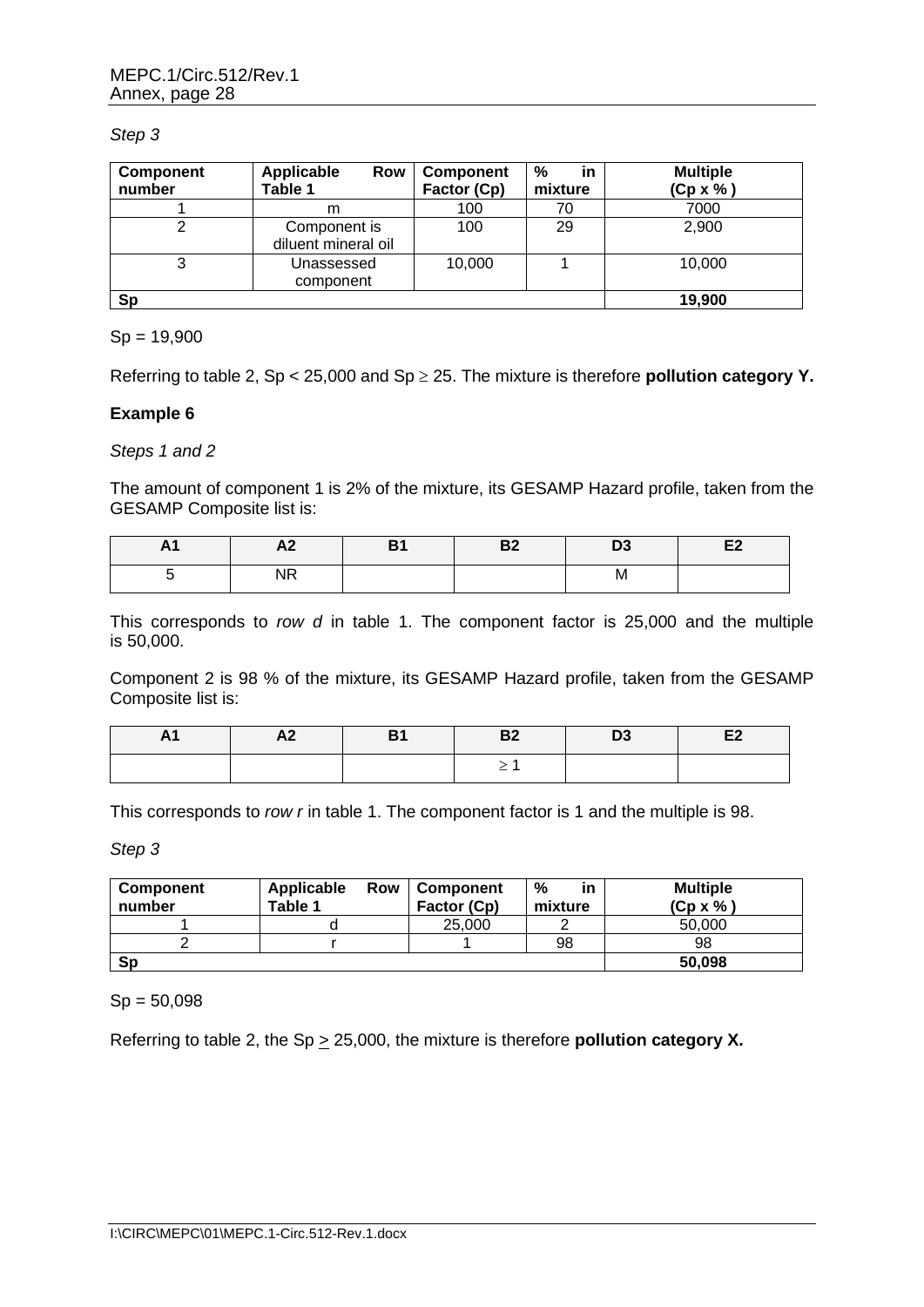#### *Step 3*

| Component<br>number | <b>Applicable</b><br>Row<br>Table 1 | <b>Component</b><br>Factor (Cp) | %<br>in<br>mixture | <b>Multiple</b><br>$(Cp \times \% )$ |
|---------------------|-------------------------------------|---------------------------------|--------------------|--------------------------------------|
|                     | m                                   | 100                             | 70                 | 7000                                 |
|                     | Component is<br>diluent mineral oil | 100                             | 29                 | 2,900                                |
| 3                   | Unassessed<br>component             | 10,000                          |                    | 10,000                               |
| Sp                  |                                     |                                 |                    | 19,900                               |

# $Sp = 19,900$

Referring to table 2, Sp < 25,000 and Sp 25. The mixture is therefore **pollution category Y.**

# **Example 6**

# *Steps 1 and 2*

The amount of component 1 is 2% of the mixture, its GESAMP Hazard profile, taken from the GESAMP Composite list is:

| n i | <b></b>                                 | D.<br>о | D.<br>⊷ | ◡ | $-$<br>-- |
|-----|-----------------------------------------|---------|---------|---|-----------|
|     | $\overline{\phantom{a}}$<br><b>1117</b> |         |         | M |           |

This corresponds to *row d* in table 1. The component factor is 25,000 and the multiple is 50,000.

Component 2 is 98 % of the mixture, its GESAMP Hazard profile, taken from the GESAMP Composite list is:

| A1 | A <sub>2</sub> | <b>B1</b> | <b>B2</b>                | D <sub>3</sub> | E <sub>2</sub> |
|----|----------------|-----------|--------------------------|----------------|----------------|
|    |                |           | $\overline{\phantom{0}}$ |                |                |

This corresponds to *row r* in table 1. The component factor is 1 and the multiple is 98.

*Step 3*

| <b>Component</b><br>number | Applicable<br>Row<br>Table 1 | <b>Component</b><br>Factor (Cp) | %<br>in<br>mixture | <b>Multiple</b><br>$(Cp \times \% )$ |
|----------------------------|------------------------------|---------------------------------|--------------------|--------------------------------------|
|                            |                              | 25,000                          |                    | 50,000                               |
|                            |                              |                                 | 98                 | 98                                   |
| Sp                         |                              |                                 |                    | 50,098                               |

# $Sp = 50,098$

Referring to table 2, the Sp  $\geq$  25,000, the mixture is therefore **pollution category X.**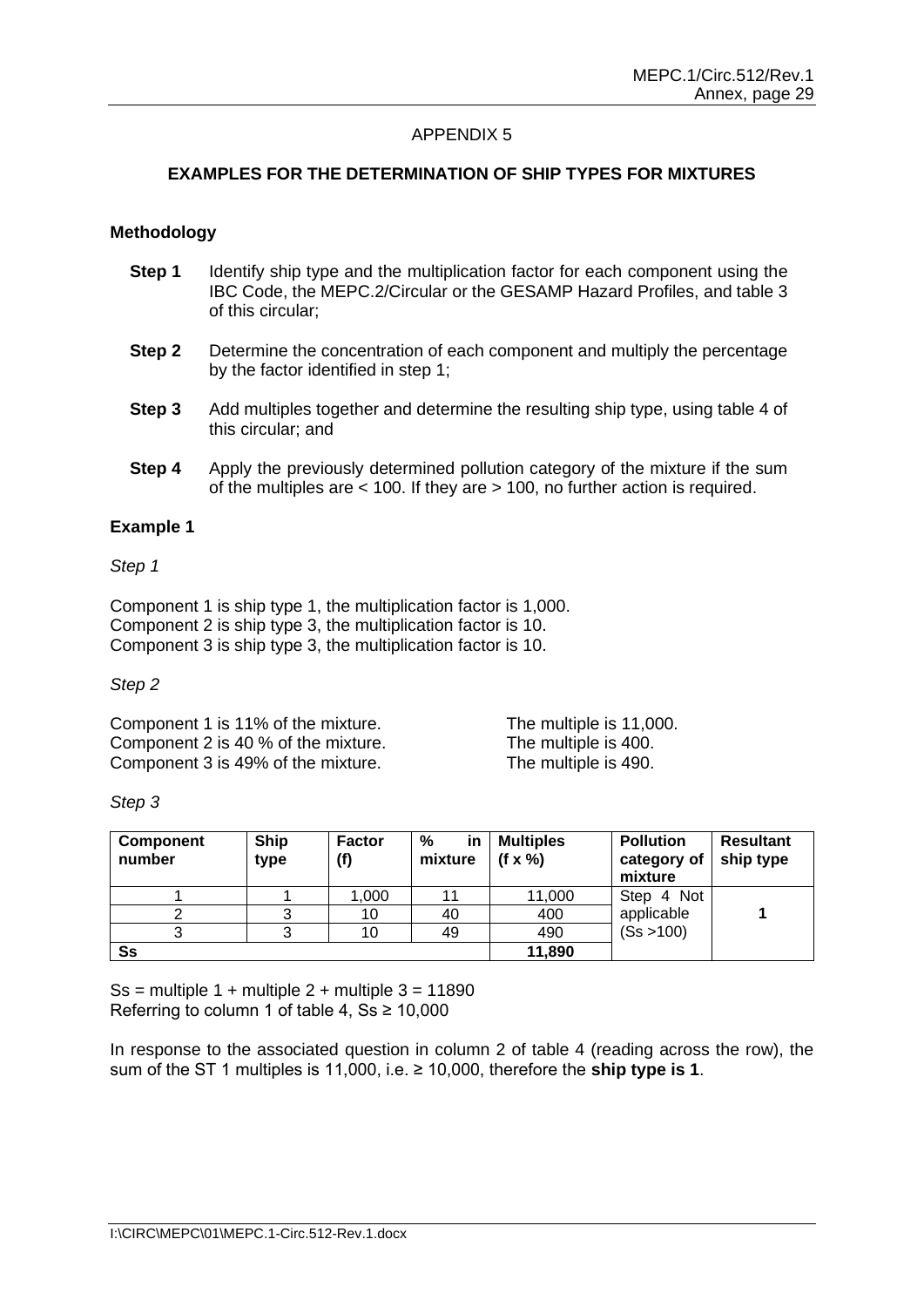# **EXAMPLES FOR THE DETERMINATION OF SHIP TYPES FOR MIXTURES**

#### **Methodology**

- **Step 1** Identify ship type and the multiplication factor for each component using the IBC Code, the MEPC.2/Circular or the GESAMP Hazard Profiles, and table 3 of this circular;
- **Step 2** Determine the concentration of each component and multiply the percentage by the factor identified in step 1;
- **Step 3** Add multiples together and determine the resulting ship type, using table 4 of this circular; and
- **Step 4** Apply the previously determined pollution category of the mixture if the sum of the multiples are < 100. If they are > 100, no further action is required.

#### **Example 1**

#### *Step 1*

Component 1 is ship type 1, the multiplication factor is 1,000. Component 2 is ship type 3, the multiplication factor is 10. Component 3 is ship type 3, the multiplication factor is 10.

#### *Step 2*

Component 1 is 11% of the mixture. The multiple is 11,000. Component 2 is 40 % of the mixture. The multiple is 400. Component 3 is 49% of the mixture. The multiple is 490.

#### *Step 3*

| Component<br>number | <b>Ship</b><br>type | <b>Factor</b><br>(f) | %<br>in<br>mixture | <b>Multiples</b><br>(f $\times$ %) | <b>Pollution</b><br>category of<br>mixture | <b>Resultant</b><br>ship type |
|---------------------|---------------------|----------------------|--------------------|------------------------------------|--------------------------------------------|-------------------------------|
|                     |                     | 1.000                | 11                 | 11,000                             | Step 4 Not                                 |                               |
|                     |                     | 10                   | 40                 | 400                                | applicable                                 |                               |
|                     |                     | 10                   | 49                 | 490                                | (Ss > 100)                                 |                               |
| Ss                  |                     |                      |                    | 11,890                             |                                            |                               |

Ss = multiple  $1 +$  multiple  $2 +$  multiple  $3 = 11890$ Referring to column 1 of table 4,  $S_s \ge 10,000$ 

In response to the associated question in column 2 of table 4 (reading across the row), the sum of the ST 1 multiples is 11,000, i.e. ≥ 10,000, therefore the **ship type is 1**.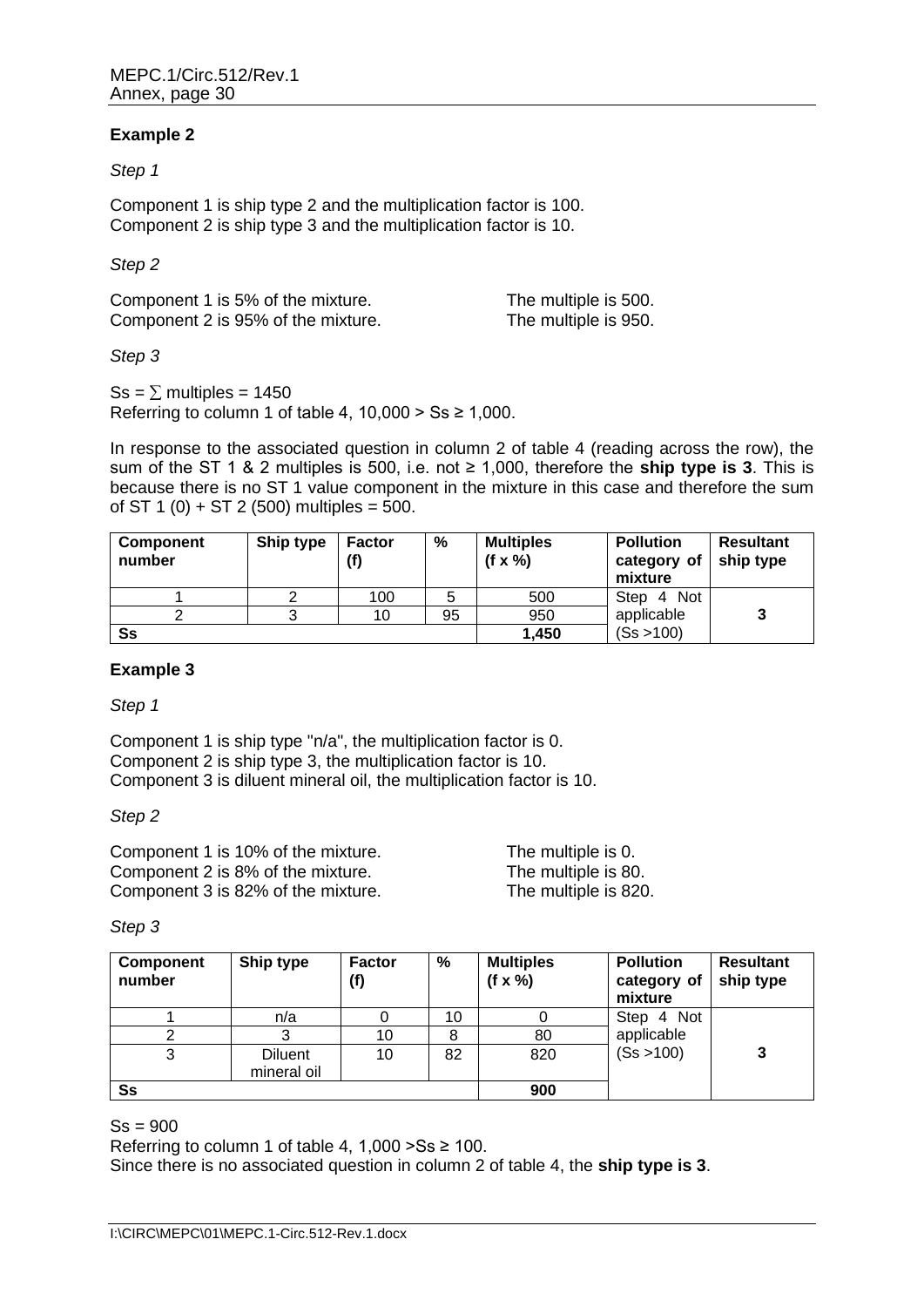# **Example 2**

#### *Step 1*

Component 1 is ship type 2 and the multiplication factor is 100. Component 2 is ship type 3 and the multiplication factor is 10.

#### *Step 2*

Component 1 is 5% of the mixture. The multiple is 500. Component 2 is 95% of the mixture. The multiple is 950.

# *Step 3*

 $\text{Ss} = \sum \text{multiples} = 1450$ Referring to column 1 of table 4,  $10,000 > Ss \ge 1,000$ .

In response to the associated question in column 2 of table 4 (reading across the row), the sum of the ST 1 & 2 multiples is 500, i.e. not ≥ 1,000, therefore the **ship type is 3**. This is because there is no ST 1 value component in the mixture in this case and therefore the sum of ST 1 (0) + ST 2 (500) multiples =  $500$ .

| <b>Component</b><br>number | Ship type | <b>Factor</b><br>(f) | %  | <b>Multiples</b><br>$(f \times \%)$ | <b>Pollution</b><br>category of<br>mixture | <b>Resultant</b><br>ship type |
|----------------------------|-----------|----------------------|----|-------------------------------------|--------------------------------------------|-------------------------------|
|                            |           | 100                  | 5  | 500                                 | Step 4 Not                                 |                               |
|                            |           | 10                   | 95 | 950                                 | applicable                                 |                               |
| Ss                         |           |                      |    | 1,450                               | (Ss > 100)                                 |                               |

# **Example 3**

*Step 1*

Component 1 is ship type "n/a", the multiplication factor is 0. Component 2 is ship type 3, the multiplication factor is 10. Component 3 is diluent mineral oil, the multiplication factor is 10.

*Step 2*

| Component 1 is 10% of the mixture. | The multiple is 0.   |
|------------------------------------|----------------------|
| Component 2 is 8% of the mixture.  | The multiple is 80.  |
| Component 3 is 82% of the mixture. | The multiple is 820. |

#### *Step 3*

| Component<br>number | Ship type                     | <b>Factor</b><br>(f) | %  | <b>Multiples</b><br>$(f \times \frac{0}{0})$ | <b>Pollution</b><br>category of<br>mixture | <b>Resultant</b><br>ship type |
|---------------------|-------------------------------|----------------------|----|----------------------------------------------|--------------------------------------------|-------------------------------|
|                     | n/a                           |                      | 10 |                                              | Step 4 Not                                 |                               |
|                     |                               | 10                   | 8  | 80                                           | applicable                                 |                               |
| 3                   | <b>Diluent</b><br>mineral oil | 10                   | 82 | 820                                          | (Ss > 100)                                 | 3                             |
| Ss                  |                               |                      |    | 900                                          |                                            |                               |

 $Ss = 900$ 

Referring to column 1 of table 4,  $1,000 > Ss \ge 100$ .

Since there is no associated question in column 2 of table 4, the **ship type is 3**.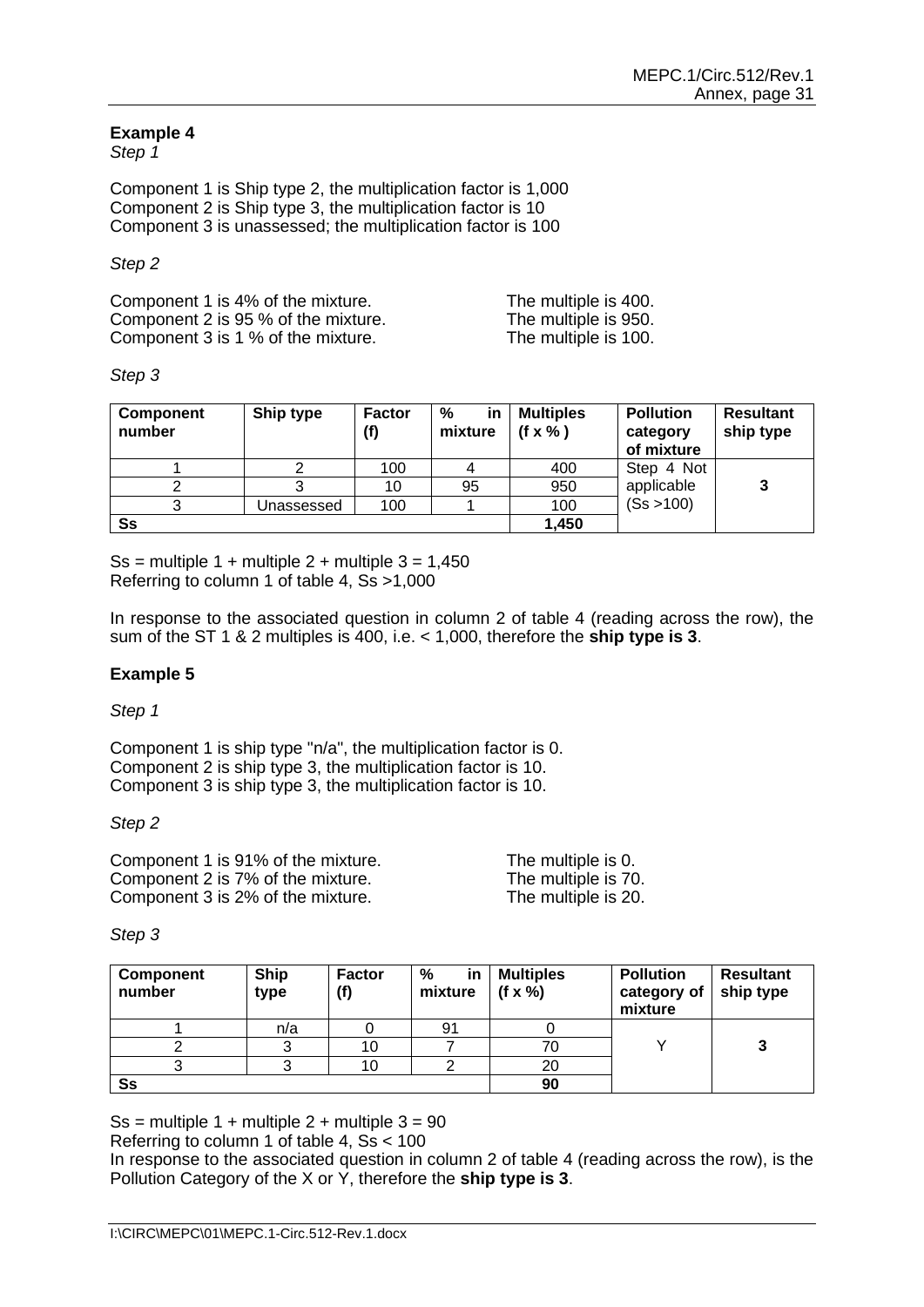# **Example 4**

*Step 1*

Component 1 is Ship type 2, the multiplication factor is 1,000 Component 2 is Ship type 3, the multiplication factor is 10 Component 3 is unassessed; the multiplication factor is 100

#### *Step 2*

| Component 1 is 4% of the mixture.   | The multiple is 400. |
|-------------------------------------|----------------------|
| Component 2 is 95 % of the mixture. | The multiple is 950. |
| Component 3 is 1 % of the mixture.  | The multiple is 100. |

#### *Step 3*

| Component<br>number | Ship type  | <b>Factor</b><br>(f) | %<br><b>in</b><br>mixture | <b>Multiples</b><br>$(f \times \% )$ | <b>Pollution</b><br>category<br>of mixture | <b>Resultant</b><br>ship type |
|---------------------|------------|----------------------|---------------------------|--------------------------------------|--------------------------------------------|-------------------------------|
|                     |            | 100                  |                           | 400                                  | Step 4 Not                                 |                               |
|                     |            | 10                   | 95                        | 950                                  | applicable                                 |                               |
|                     | Unassessed | 100                  |                           | 100                                  | (Ss > 100)                                 |                               |
| Ss                  |            |                      |                           | 1,450                                |                                            |                               |

Ss = multiple  $1 +$  multiple  $2 +$  multiple  $3 = 1,450$ Referring to column 1 of table 4, Ss >1,000

In response to the associated question in column 2 of table 4 (reading across the row), the sum of the ST 1 & 2 multiples is 400, i.e. < 1,000, therefore the **ship type is 3**.

#### **Example 5**

*Step 1*

Component 1 is ship type "n/a", the multiplication factor is 0. Component 2 is ship type 3, the multiplication factor is 10. Component 3 is ship type 3, the multiplication factor is 10.

#### *Step 2*

Component 1 is 91% of the mixture.<br>
Component 2 is 7% of the mixture.<br>
The multiple is 70. Component 2 is 7% of the mixture.<br>
Component 3 is 2% of the mixture.<br>
The multiple is 20. Component 3 is 2% of the mixture.

#### *Step 3*

| Component<br>number | <b>Ship</b><br>type | <b>Factor</b><br>(f) | ℅<br><b>in</b><br>mixture | <b>Multiples</b><br>$(f \times \%)$ | <b>Pollution</b><br>category of<br>mixture | <b>Resultant</b><br>ship type |
|---------------------|---------------------|----------------------|---------------------------|-------------------------------------|--------------------------------------------|-------------------------------|
|                     | n/a                 |                      | 91                        |                                     |                                            |                               |
|                     |                     | 10                   |                           |                                     |                                            |                               |
|                     |                     | 10                   |                           | 20                                  |                                            |                               |
| Ss                  |                     |                      |                           | 90                                  |                                            |                               |

Ss = multiple  $1 +$  multiple  $2 +$  multiple  $3 = 90$ 

Referring to column 1 of table 4, Ss < 100

In response to the associated question in column 2 of table 4 (reading across the row), is the Pollution Category of the X or Y, therefore the **ship type is 3**.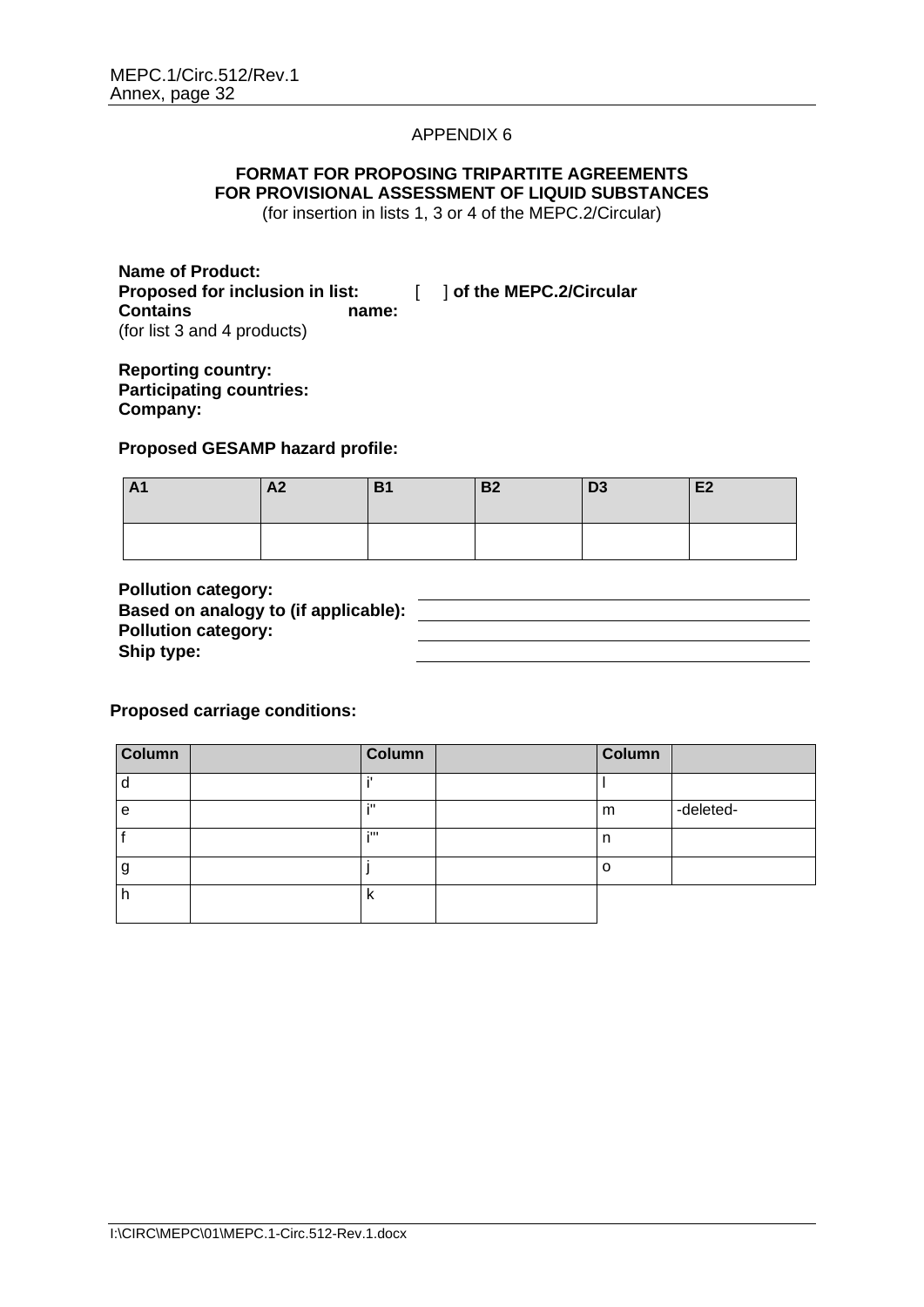# **FORMAT FOR PROPOSING TRIPARTITE AGREEMENTS FOR PROVISIONAL ASSESSMENT OF LIQUID SUBSTANCES**

(for insertion in lists 1, 3 or 4 of the MEPC.2/Circular)

**Name of Product: Proposed for inclusion in list:** [ ] **of the MEPC.2/Circular Contains name:** (for list 3 and 4 products)

**Reporting country: Participating countries: Company:**

**Proposed GESAMP hazard profile:**

| $\mathbf{A}$<br>$\mathbf{\mathsf{m}}$ | A <sub>2</sub> | D <sub>4</sub><br>ו כו | <b>B2</b> | D <sub>3</sub> | E2 |
|---------------------------------------|----------------|------------------------|-----------|----------------|----|
|                                       |                |                        |           |                |    |

**Pollution category: Based on analogy to (if applicable): Pollution category: Ship type:**

**Proposed carriage conditions:**

| <b>Column</b> | <b>Column</b> | Column  |           |
|---------------|---------------|---------|-----------|
|               |               |         |           |
| е             | 211           | m       | -deleted- |
|               | 200           | n       |           |
| У             |               | $\circ$ |           |
|               |               |         |           |